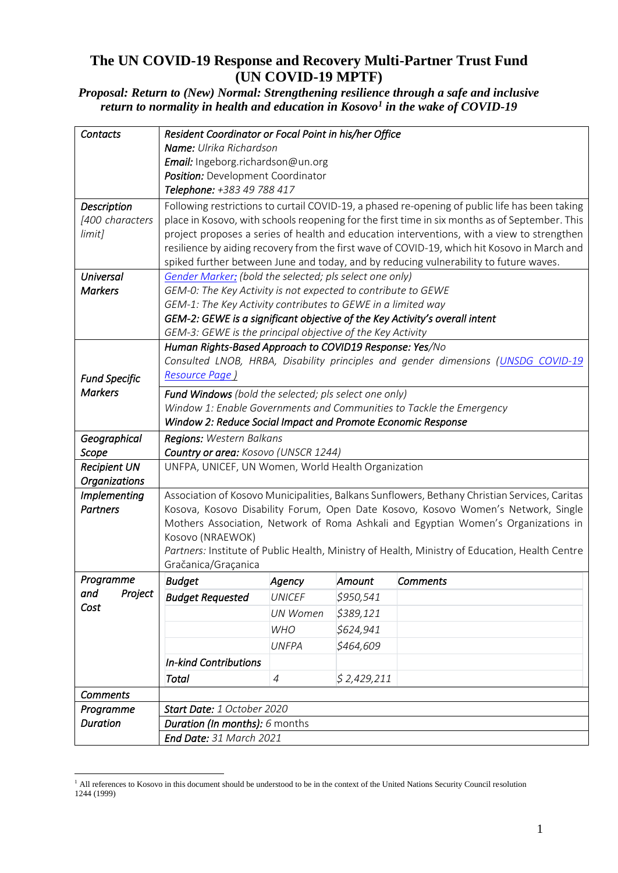### **The UN COVID-19 Response and Recovery Multi-Partner Trust Fund (UN COVID-19 MPTF)**

*Proposal: Return to (New) Normal: Strengthening resilience through a safe and inclusive return to normality in health and education in Kosovo<sup>1</sup> in the wake of COVID-19*

| <b>Contacts</b>      | Resident Coordinator or Focal Point in his/her Office         |                 |             |                                                                                                |  |  |  |
|----------------------|---------------------------------------------------------------|-----------------|-------------|------------------------------------------------------------------------------------------------|--|--|--|
|                      | <b>Name:</b> Ulrika Richardson                                |                 |             |                                                                                                |  |  |  |
|                      | Email: Ingeborg.richardson@un.org                             |                 |             |                                                                                                |  |  |  |
|                      | Position: Development Coordinator                             |                 |             |                                                                                                |  |  |  |
|                      | Telephone: +383 49 788 417                                    |                 |             |                                                                                                |  |  |  |
| <b>Description</b>   |                                                               |                 |             | Following restrictions to curtail COVID-19, a phased re-opening of public life has been taking |  |  |  |
| [400 characters      |                                                               |                 |             | place in Kosovo, with schools reopening for the first time in six months as of September. This |  |  |  |
| limit]               |                                                               |                 |             | project proposes a series of health and education interventions, with a view to strengthen     |  |  |  |
|                      |                                                               |                 |             | resilience by aiding recovery from the first wave of COVID-19, which hit Kosovo in March and   |  |  |  |
|                      |                                                               |                 |             | spiked further between June and today, and by reducing vulnerability to future waves.          |  |  |  |
| <b>Universal</b>     | Gender Marker: (bold the selected; pls select one only)       |                 |             |                                                                                                |  |  |  |
| <b>Markers</b>       | GEM-0: The Key Activity is not expected to contribute to GEWE |                 |             |                                                                                                |  |  |  |
|                      | GEM-1: The Key Activity contributes to GEWE in a limited way  |                 |             |                                                                                                |  |  |  |
|                      |                                                               |                 |             | GEM-2: GEWE is a significant objective of the Key Activity's overall intent                    |  |  |  |
|                      | GEM-3: GEWE is the principal objective of the Key Activity    |                 |             |                                                                                                |  |  |  |
|                      | Human Rights-Based Approach to COVID19 Response: Yes/No       |                 |             |                                                                                                |  |  |  |
|                      |                                                               |                 |             | Consulted LNOB, HRBA, Disability principles and gender dimensions (UNSDG COVID-19              |  |  |  |
| <b>Fund Specific</b> | Resource Page)                                                |                 |             |                                                                                                |  |  |  |
| <b>Markers</b>       | Fund Windows (bold the selected; pls select one only)         |                 |             |                                                                                                |  |  |  |
|                      |                                                               |                 |             | Window 1: Enable Governments and Communities to Tackle the Emergency                           |  |  |  |
|                      | Window 2: Reduce Social Impact and Promote Economic Response  |                 |             |                                                                                                |  |  |  |
| Geographical         | Regions: Western Balkans                                      |                 |             |                                                                                                |  |  |  |
| Scope                | Country or area: Kosovo (UNSCR 1244)                          |                 |             |                                                                                                |  |  |  |
| <b>Recipient UN</b>  | UNFPA, UNICEF, UN Women, World Health Organization            |                 |             |                                                                                                |  |  |  |
| <b>Organizations</b> |                                                               |                 |             |                                                                                                |  |  |  |
| <b>Implementing</b>  |                                                               |                 |             | Association of Kosovo Municipalities, Balkans Sunflowers, Bethany Christian Services, Caritas  |  |  |  |
| <b>Partners</b>      |                                                               |                 |             | Kosova, Kosovo Disability Forum, Open Date Kosovo, Kosovo Women's Network, Single              |  |  |  |
|                      |                                                               |                 |             | Mothers Association, Network of Roma Ashkali and Egyptian Women's Organizations in             |  |  |  |
|                      | Kosovo (NRAEWOK)                                              |                 |             |                                                                                                |  |  |  |
|                      |                                                               |                 |             | Partners: Institute of Public Health, Ministry of Health, Ministry of Education, Health Centre |  |  |  |
|                      | Gračanica/Graçanica                                           |                 |             |                                                                                                |  |  |  |
| Programme            | <b>Budget</b>                                                 | Agency          | Amount      | <b>Comments</b>                                                                                |  |  |  |
| Project<br>and       | <b>Budget Requested</b>                                       | <b>UNICEF</b>   | \$950,541   |                                                                                                |  |  |  |
| Cost                 |                                                               | <b>UN Women</b> | \$389,121   |                                                                                                |  |  |  |
|                      |                                                               | <b>WHO</b>      | \$624,941   |                                                                                                |  |  |  |
|                      |                                                               | <b>UNFPA</b>    | \$464,609   |                                                                                                |  |  |  |
|                      | <b>In-kind Contributions</b>                                  |                 |             |                                                                                                |  |  |  |
|                      | <b>Total</b>                                                  | $\overline{4}$  | \$2,429,211 |                                                                                                |  |  |  |
|                      |                                                               |                 |             |                                                                                                |  |  |  |
| <b>Comments</b>      |                                                               |                 |             |                                                                                                |  |  |  |
| Programme            | Start Date: 1 October 2020                                    |                 |             |                                                                                                |  |  |  |
| <b>Duration</b>      | Duration (In months): 6 months                                |                 |             |                                                                                                |  |  |  |
|                      | End Date: 31 March 2021                                       |                 |             |                                                                                                |  |  |  |

<sup>&</sup>lt;sup>1</sup> All references to Kosovo in this document should be understood to be in the context of the United Nations Security Council resolution 1244 (1999)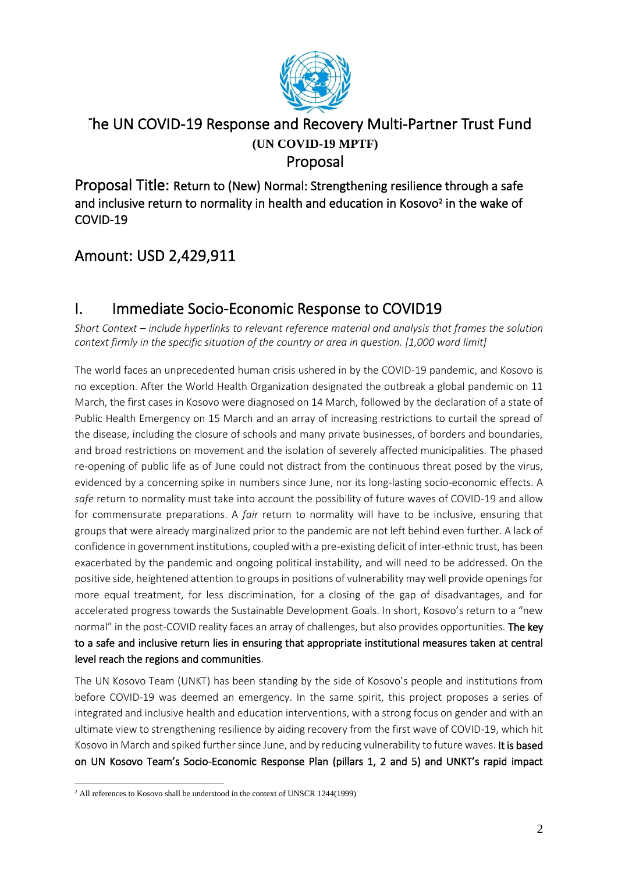

### The UN COVID-19 Response and Recovery Multi-Partner Trust Fund **(UN COVID-19 MPTF)** Proposal

Proposal Title: Return to (New) Normal: Strengthening resilience through a safe and inclusive return to normality in health and education in Kosovo<sup>2</sup> in the wake of COVID-19

## Amount: USD 2,429,911

## I. Immediate Socio-Economic Response to COVID19

*Short Context – include hyperlinks to relevant reference material and analysis that frames the solution context firmly in the specific situation of the country or area in question. [1,000 word limit]*

The world faces an unprecedented human crisis ushered in by the COVID-19 pandemic, and Kosovo is no exception. After the World Health Organization designated the outbreak a global pandemic on 11 March, the first cases in Kosovo were diagnosed on 14 March, followed by the declaration of a state of Public Health Emergency on 15 March and an array of increasing restrictions to curtail the spread of the disease, including the closure of schools and many private businesses, of borders and boundaries, and broad restrictions on movement and the isolation of severely affected municipalities. The phased re-opening of public life as of June could not distract from the continuous threat posed by the virus, evidenced by a concerning spike in numbers since June, nor its long-lasting socio-economic effects. A *safe* return to normality must take into account the possibility of future waves of COVID-19 and allow for commensurate preparations. A *fair* return to normality will have to be inclusive, ensuring that groups that were already marginalized prior to the pandemic are not left behind even further. A lack of confidence in government institutions, coupled with a pre-existing deficit of inter-ethnic trust, has been exacerbated by the pandemic and ongoing political instability, and will need to be addressed. On the positive side, heightened attention to groups in positions of vulnerability may well provide openings for more equal treatment, for less discrimination, for a closing of the gap of disadvantages, and for accelerated progress towards the Sustainable Development Goals. In short, Kosovo's return to a "new normal" in the post-COVID reality faces an array of challenges, but also provides opportunities. The key to a safe and inclusive return lies in ensuring that appropriate institutional measures taken at central level reach the regions and communities.

The UN Kosovo Team (UNKT) has been standing by the side of Kosovo's people and institutions from before COVID-19 was deemed an emergency. In the same spirit, this project proposes a series of integrated and inclusive health and education interventions, with a strong focus on gender and with an ultimate view to strengthening resilience by aiding recovery from the first wave of COVID-19, which hit Kosovo in March and spiked further since June, and by reducing vulnerability to future waves. It is based on UN Kosovo Team's Socio-Economic Response Plan (pillars 1, 2 and 5) and UNKT's rapid impact

<sup>&</sup>lt;sup>2</sup> All references to Kosovo shall be understood in the context of UNSCR 1244(1999)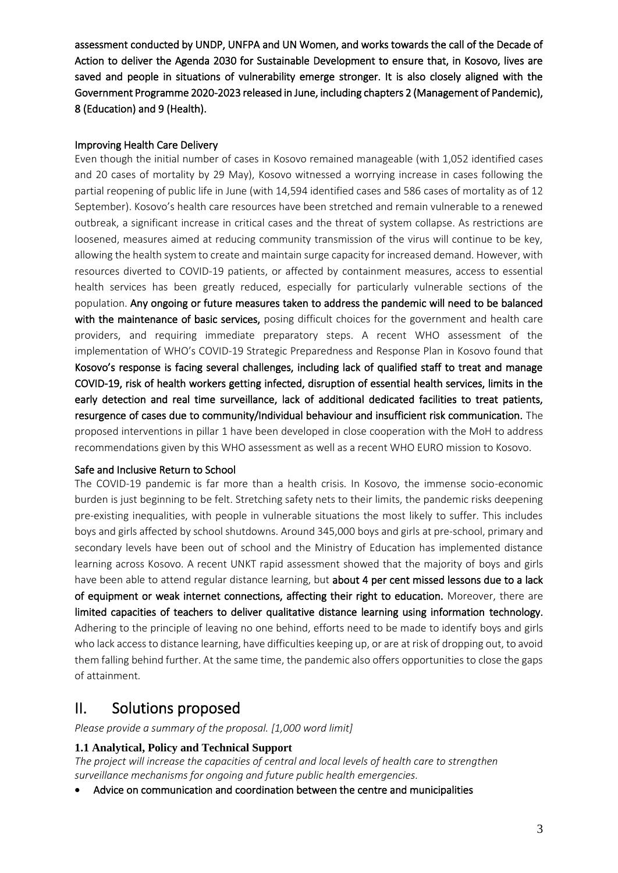assessment conducted by UNDP, UNFPA and UN Women, and works towards the call of the Decade of Action to deliver the Agenda 2030 for Sustainable Development to ensure that, in Kosovo, lives are saved and people in situations of vulnerability emerge stronger. It is also closely aligned with the Government Programme 2020-2023 released in June, including chapters 2 (Management of Pandemic), 8 (Education) and 9 (Health).

#### Improving Health Care Delivery

Even though the initial number of cases in Kosovo remained manageable (with 1,052 identified cases and 20 cases of mortality by 29 May), Kosovo witnessed a worrying increase in cases following the partial reopening of public life in June (with 14,594 identified cases and 586 cases of mortality as of 12 September). Kosovo's health care resources have been stretched and remain vulnerable to a renewed outbreak, a significant increase in critical cases and the threat of system collapse. As restrictions are loosened, measures aimed at reducing community transmission of the virus will continue to be key, allowing the health system to create and maintain surge capacity for increased demand. However, with resources diverted to COVID-19 patients, or affected by containment measures, access to essential health services has been greatly reduced, especially for particularly vulnerable sections of the population. Any ongoing or future measures taken to address the pandemic will need to be balanced with the maintenance of basic services, posing difficult choices for the government and health care providers, and requiring immediate preparatory steps. A recent WHO assessment of the implementation of WHO's COVID-19 Strategic Preparedness and Response Plan in Kosovo found that Kosovo's response is facing several challenges, including lack of qualified staff to treat and manage COVID-19, risk of health workers getting infected, disruption of essential health services, limits in the early detection and real time surveillance, lack of additional dedicated facilities to treat patients, resurgence of cases due to community/Individual behaviour and insufficient risk communication. The proposed interventions in pillar 1 have been developed in close cooperation with the MoH to address recommendations given by this WHO assessment as well as a recent WHO EURO mission to Kosovo.

#### Safe and Inclusive Return to School

The COVID-19 pandemic is far more than a health crisis. In Kosovo, the immense socio-economic burden is just beginning to be felt. Stretching safety nets to their limits, the pandemic risks deepening pre-existing inequalities, with people in vulnerable situations the most likely to suffer. This includes boys and girls affected by school shutdowns. Around 345,000 boys and girls at pre-school, primary and secondary levels have been out of school and the Ministry of Education has implemented distance learning across Kosovo. A recent UNKT rapid assessment showed that the majority of boys and girls have been able to attend regular distance learning, but about 4 per cent missed lessons due to a lack of equipment or weak internet connections, affecting their right to education. Moreover, there are limited capacities of teachers to deliver qualitative distance learning using information technology. Adhering to the principle of leaving no one behind, efforts need to be made to identify boys and girls who lack access to distance learning, have difficulties keeping up, or are at risk of dropping out, to avoid them falling behind further. At the same time, the pandemic also offers opportunities to close the gaps of attainment.

### II. Solutions proposed

*Please provide a summary of the proposal. [1,000 word limit]*

#### **1.1 Analytical, Policy and Technical Support**

*The project will increase the capacities of central and local levels of health care to strengthen surveillance mechanisms for ongoing and future public health emergencies.*

• Advice on communication and coordination between the centre and municipalities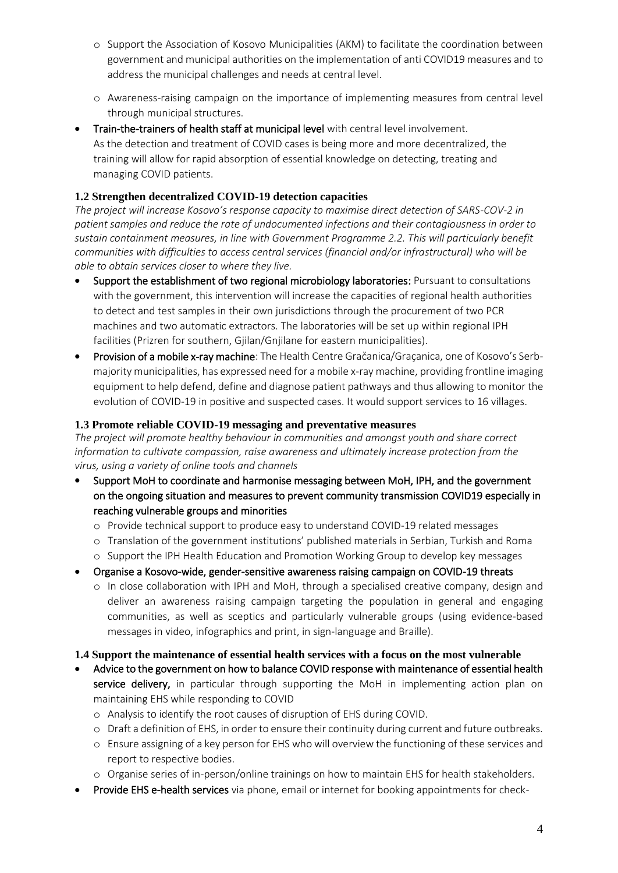- o Support the Association of Kosovo Municipalities (AKM) to facilitate the coordination between government and municipal authorities on the implementation of anti COVID19 measures and to address the municipal challenges and needs at central level.
- o Awareness-raising campaign on the importance of implementing measures from central level through municipal structures.
- Train-the-trainers of health staff at municipal level with central level involvement. As the detection and treatment of COVID cases is being more and more decentralized, the training will allow for rapid absorption of essential knowledge on detecting, treating and managing COVID patients.

#### **1.2 Strengthen decentralized COVID-19 detection capacities**

*The project will increase Kosovo's response capacity to maximise direct detection of SARS-COV-2 in patient samples and reduce the rate of undocumented infections and their contagiousness in order to sustain containment measures, in line with Government Programme 2.2. This will particularly benefit communities with difficulties to access central services (financial and/or infrastructural) who will be able to obtain services closer to where they live.*

- Support the establishment of two regional microbiology laboratories: Pursuant to consultations with the government, this intervention will increase the capacities of regional health authorities to detect and test samples in their own jurisdictions through the procurement of two PCR machines and two automatic extractors. The laboratories will be set up within regional IPH facilities (Prizren for southern, Gjilan/Gnjilane for eastern municipalities).
- Provision of a mobile x-ray machine: The Health Centre [Gračanica/](https://en.wikipedia.org/wiki/Gra%C4%8Danica,_Kosovo)Graçanica, one of Kosovo's Serbmajority municipalities, has expressed need for a mobile x-ray machine, providing frontline imaging equipment to help defend, define and diagnose patient pathways and thus allowing to monitor the evolution of COVID-19 in positive and suspected cases. It would support services to 16 villages.

#### **1.3 Promote reliable COVID-19 messaging and preventative measures**

*The project will promote healthy behaviour in communities and amongst youth and share correct information to cultivate compassion, raise awareness and ultimately increase protection from the virus, using a variety of online tools and channels*

- Support MoH to coordinate and harmonise messaging between MoH, IPH, and the government on the ongoing situation and measures to prevent community transmission COVID19 especially in reaching vulnerable groups and minorities
	- o Provide technical support to produce easy to understand COVID-19 related messages
	- o Translation of the government institutions' published materials in Serbian, Turkish and Roma
	- o Support the IPH Health Education and Promotion Working Group to develop key messages
- Organise a Kosovo-wide, gender-sensitive awareness raising campaign on COVID-19 threats
	- o In close collaboration with IPH and MoH, through a specialised creative company, design and deliver an awareness raising campaign targeting the population in general and engaging communities, as well as sceptics and particularly vulnerable groups (using evidence-based messages in video, infographics and print, in sign-language and Braille).

#### **1.4 Support the maintenance of essential health services with a focus on the most vulnerable**

- Advice to the government on how to balance COVID response with maintenance of essential health service delivery, in particular through supporting the MoH in implementing action plan on maintaining EHS while responding to COVID
	- o Analysis to identify the root causes of disruption of EHS during COVID.
	- o Draft a definition of EHS, in order to ensure their continuity during current and future outbreaks.
	- o Ensure assigning of a key person for EHS who will overview the functioning of these services and report to respective bodies.
	- o Organise series of in-person/online trainings on how to maintain EHS for health stakeholders.
- Provide EHS e-health services via phone, email or internet for booking appointments for check-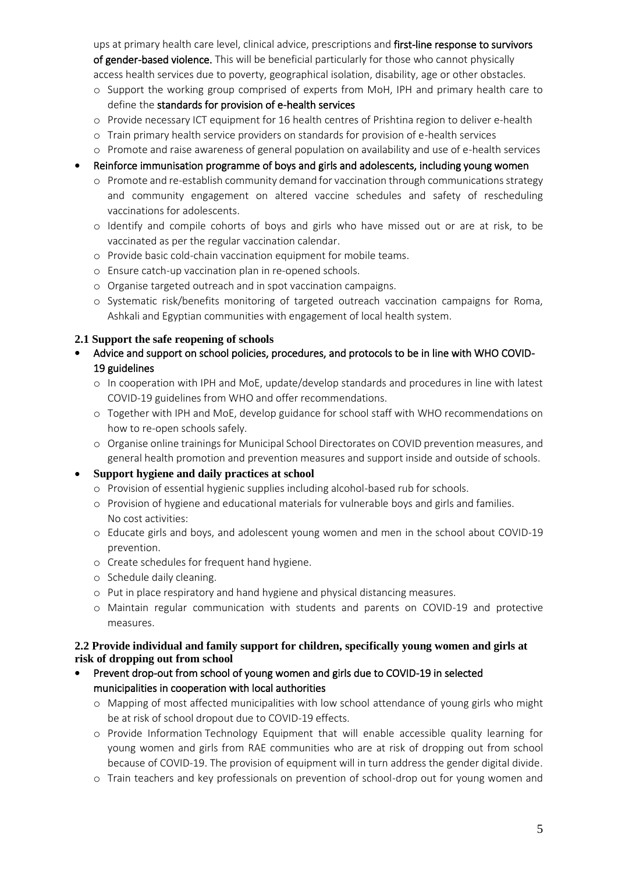ups at primary health care level, clinical advice, prescriptions and first-line response to survivors of gender-based violence. This will be beneficial particularly for those who cannot physically access health services due to poverty, geographical isolation, disability, age or other obstacles.

- o Support the working group comprised of experts from MoH, IPH and primary health care to define the standards for provision of e-health services
- o Provide necessary ICT equipment for 16 health centres of Prishtina region to deliver e-health
- o Train primary health service providers on standards for provision of e-health services
- o Promote and raise awareness of general population on availability and use of e-health services
- Reinforce immunisation programme of boys and girls and adolescents, including young women
	- o Promote and re-establish community demand for vaccination through communications strategy and community engagement on altered vaccine schedules and safety of rescheduling vaccinations for adolescents.
	- o Identify and compile cohorts of boys and girls who have missed out or are at risk, to be vaccinated as per the regular vaccination calendar.
	- o Provide basic cold-chain vaccination equipment for mobile teams.
	- o Ensure catch-up vaccination plan in re-opened schools.
	- o Organise targeted outreach and in spot vaccination campaigns.
	- o Systematic risk/benefits monitoring of targeted outreach vaccination campaigns for Roma, Ashkali and Egyptian communities with engagement of local health system.

#### **2.1 Support the safe reopening of schools**

- Advice and support on school policies, procedures, and protocols to be in line with WHO COVID-19 guidelines
	- o In cooperation with IPH and MoE, update/develop standards and procedures in line with latest COVID-19 guidelines from WHO and offer recommendations.
	- o Together with IPH and MoE, develop guidance for school staff with WHO recommendations on how to re-open schools safely.
	- o Organise online trainings for Municipal School Directorates on COVID prevention measures, and general health promotion and prevention measures and support inside and outside of schools.
- **Support hygiene and daily practices at school**
	- o Provision of essential hygienic supplies including alcohol-based rub for schools.
	- o Provision of hygiene and educational materials for vulnerable boys and girls and families. No cost activities:
	- o Educate girls and boys, and adolescent young women and men in the school about COVID-19 prevention.
	- o Create schedules for frequent hand hygiene.
	- o Schedule daily cleaning.
	- o Put in place respiratory and hand hygiene and physical distancing measures.
	- o Maintain regular communication with students and parents on COVID-19 and protective measures.

#### **2.2 Provide individual and family support for children, specifically young women and girls at risk of dropping out from school**

- Prevent drop-out from school of young women and girls due to COVID-19 in selected municipalities in cooperation with local authorities
	- o Mapping of most affected municipalities with low school attendance of young girls who might be at risk of school dropout due to COVID-19 effects.
	- o Provide Information Technology Equipment that will enable accessible quality learning for young women and girls from RAE communities who are at risk of dropping out from school because of COVID-19. The provision of equipment will in turn address the gender digital divide.
	- o Train teachers and key professionals on prevention of school-drop out for young women and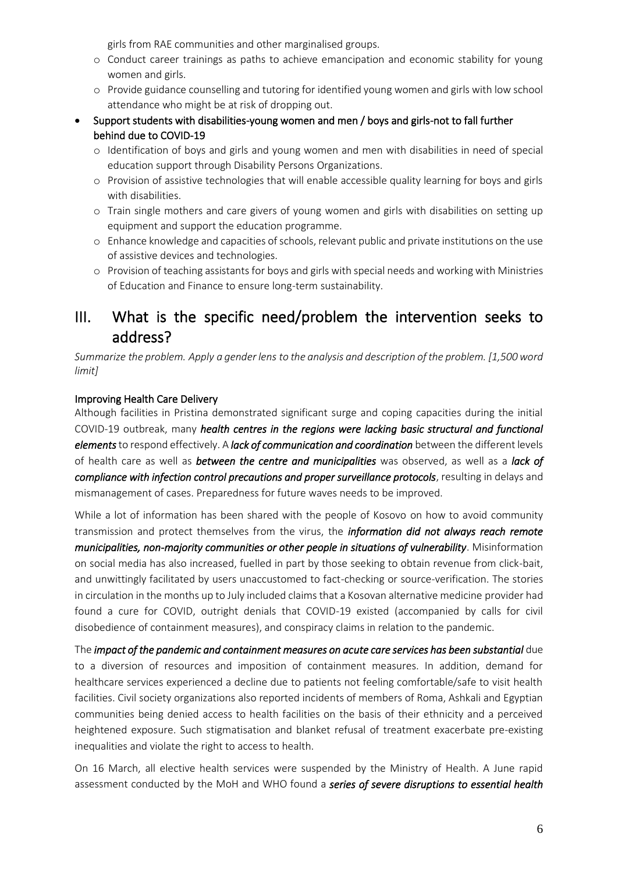girls from RAE communities and other marginalised groups.

- o Conduct career trainings as paths to achieve emancipation and economic stability for young women and girls.
- o Provide guidance counselling and tutoring for identified young women and girls with low school attendance who might be at risk of dropping out.
- Support students with disabilities-young women and men / boys and girls-not to fall further behind due to COVID-19
	- o Identification of boys and girls and young women and men with disabilities in need of special education support through Disability Persons Organizations.
	- o Provision of assistive technologies that will enable accessible quality learning for boys and girls with disabilities.
	- o Train single mothers and care givers of young women and girls with disabilities on setting up equipment and support the education programme.
	- o Enhance knowledge and capacities of schools, relevant public and private institutions on the use of assistive devices and technologies.
	- o Provision of teaching assistants for boys and girls with special needs and working with Ministries of Education and Finance to ensure long-term sustainability.

### III. What is the specific need/problem the intervention seeks to address?

*Summarize the problem. Apply [a gender lens](https://www.unwomen.org/en/news/stories/2020/3/news-checklist-for-covid-19-response-by-ded-regner) to the analysis and description of the problem. [1,500 word limit]*

#### Improving Health Care Delivery

Although facilities in Pristina demonstrated significant surge and coping capacities during the initial COVID-19 outbreak, many *health centres in the regions were lacking basic structural and functional elements*to respond effectively. A *lack of communication and coordination* between the different levels of health care as well as *between the centre and municipalities* was observed, as well as a *lack of compliance with infection control precautions and proper surveillance protocols*, resulting in delays and mismanagement of cases. Preparedness for future waves needs to be improved.

While a lot of information has been shared with the people of Kosovo on how to avoid community transmission and protect themselves from the virus, the *information did not always reach remote municipalities, non-majority communities or other people in situations of vulnerability*. Misinformation on social media has also increased, fuelled in part by those seeking to obtain revenue from click-bait, and unwittingly facilitated by users unaccustomed to fact-checking or source-verification. The stories in circulation in the months up to July included claims that a Kosovan alternative medicine provider had found a cure for COVID, outright denials that COVID-19 existed (accompanied by calls for civil disobedience of containment measures), and conspiracy claims in relation to the pandemic.

The *impact of the pandemic and containment measures on acute care services has been substantial* due to a diversion of resources and imposition of containment measures. In addition, demand for healthcare services experienced a decline due to patients not feeling comfortable/safe to visit health facilities. Civil society organizations also reported incidents of members of Roma, Ashkali and Egyptian communities being denied access to health facilities on the basis of their ethnicity and a perceived heightened exposure. Such stigmatisation and blanket refusal of treatment exacerbate pre-existing inequalities and violate the right to access to health.

On 16 March, all elective health services were suspended by the Ministry of Health. A June rapid assessment conducted by the MoH and WHO found a *series of severe disruptions to essential health*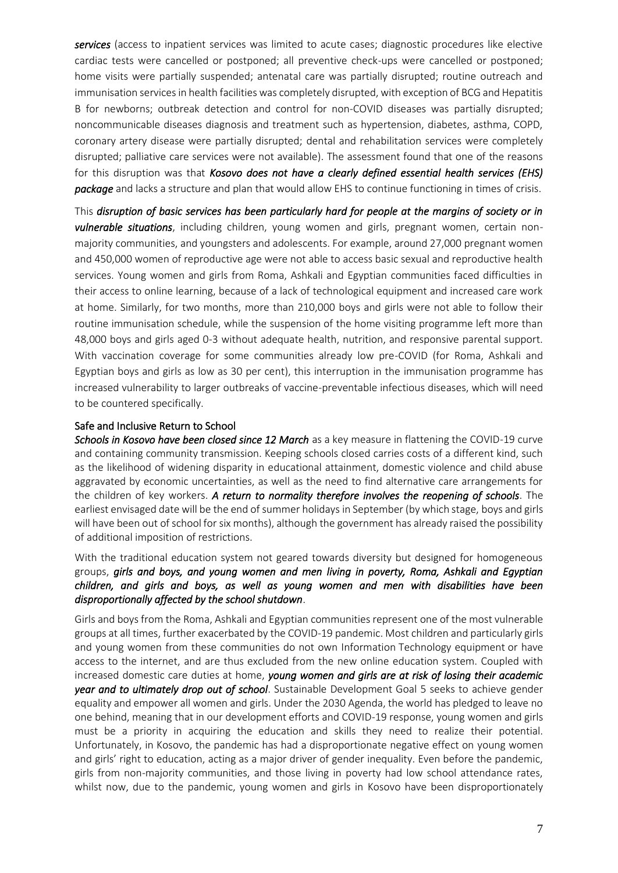*services* (access to inpatient services was limited to acute cases; diagnostic procedures like elective cardiac tests were cancelled or postponed; all preventive check-ups were cancelled or postponed; home visits were partially suspended; antenatal care was partially disrupted; routine outreach and immunisation services in health facilities was completely disrupted, with exception of BCG and Hepatitis B for newborns; outbreak detection and control for non-COVID diseases was partially disrupted; noncommunicable diseases diagnosis and treatment such as hypertension, diabetes, asthma, COPD, coronary artery disease were partially disrupted; dental and rehabilitation services were completely disrupted; palliative care services were not available). The assessment found that one of the reasons for this disruption was that *Kosovo does not have a clearly defined essential health services (EHS) package* and lacks a structure and plan that would allow EHS to continue functioning in times of crisis.

This *disruption of basic services has been particularly hard for people at the margins of society or in vulnerable situations*, including children, young women and girls, pregnant women, certain nonmajority communities, and youngsters and adolescents. For example, around 27,000 pregnant women and 450,000 women of reproductive age were not able to access basic sexual and reproductive health services. Young women and girls from Roma, Ashkali and Egyptian communities faced difficulties in their access to online learning, because of a lack of technological equipment and increased care work at home. Similarly, for two months, more than 210,000 boys and girls were not able to follow their routine immunisation schedule, while the suspension of the home visiting programme left more than 48,000 boys and girls aged 0-3 without adequate health, nutrition, and responsive parental support. With vaccination coverage for some communities already low pre-COVID (for Roma, Ashkali and Egyptian boys and girls as low as 30 per cent), this interruption in the immunisation programme has increased vulnerability to larger outbreaks of vaccine-preventable infectious diseases, which will need to be countered specifically.

#### Safe and Inclusive Return to School

*Schools in Kosovo have been closed since 12 March* as a key measure in flattening the COVID-19 curve and containing community transmission. Keeping schools closed carries costs of a different kind, such as the likelihood of widening disparity in educational attainment, domestic violence and child abuse aggravated by economic uncertainties, as well as the need to find alternative care arrangements for the children of key workers. *A return to normality therefore involves the reopening of schools*. The earliest envisaged date will be the end of summer holidays in September (by which stage, boys and girls will have been out of school for six months), although the government has already raised the possibility of additional imposition of restrictions.

With the traditional education system not geared towards diversity but designed for homogeneous groups, *girls and boys, and young women and men living in poverty, Roma, Ashkali and Egyptian children, and girls and boys, as well as young women and men with disabilities have been disproportionally affected by the school shutdown*.

Girls and boys from the Roma, Ashkali and Egyptian communities represent one of the most vulnerable groups at all times, further exacerbated by the COVID-19 pandemic. Most children and particularly girls and young women from these communities do not own Information Technology equipment or have access to the internet, and are thus excluded from the new online education system. Coupled with increased domestic care duties at home, *young women and girls are at risk of losing their academic year and to ultimately drop out of school*. Sustainable Development Goal 5 seeks to achieve gender equality and empower all women and girls. Under the 2030 Agenda, the world has pledged to leave no one behind, meaning that in our development efforts and COVID-19 response, young women and girls must be a priority in acquiring the education and skills they need to realize their potential. Unfortunately, in Kosovo, the pandemic has had a disproportionate negative effect on young women and girls' right to education, acting as a major driver of gender inequality. Even before the pandemic, girls from non-majority communities, and those living in poverty had low school attendance rates, whilst now, due to the pandemic, young women and girls in Kosovo have been disproportionately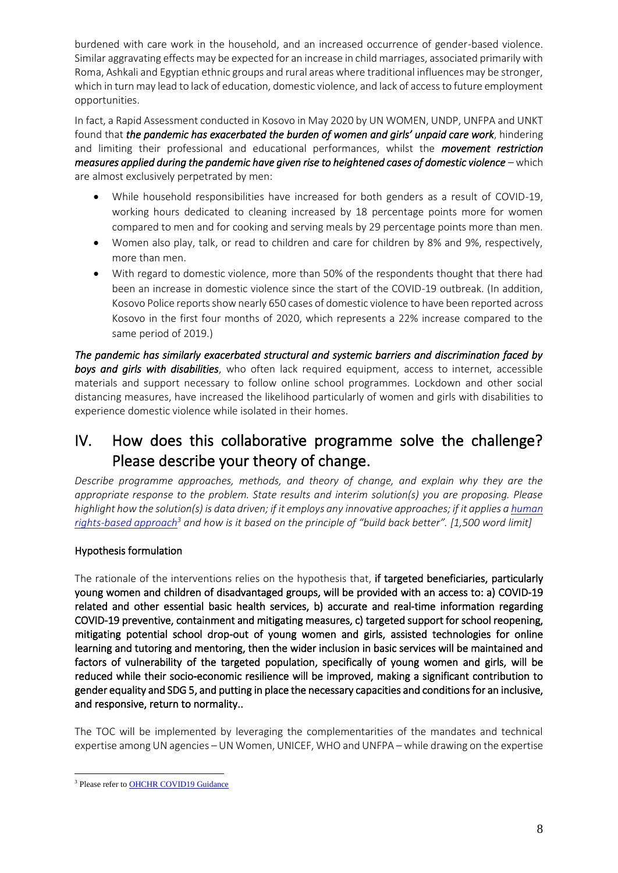burdened with care work in the household, and an increased occurrence of gender-based violence. Similar aggravating effects may be expected for an increase in child marriages, associated primarily with Roma, Ashkali and Egyptian ethnic groups and rural areas where traditional influences may be stronger, which in turn may lead to lack of education, domestic violence, and lack of access to future employment opportunities.

In fact, a Rapid Assessment conducted in Kosovo in May 2020 by UN WOMEN, UNDP, UNFPA and UNKT found that *the pandemic has exacerbated the burden of women and girls' unpaid care work*, hindering and limiting their professional and educational performances, whilst the *movement restriction measures applied during the pandemic have given rise to heightened cases of domestic violence* – which are almost exclusively perpetrated by men:

- While household responsibilities have increased for both genders as a result of COVID-19, working hours dedicated to cleaning increased by 18 percentage points more for women compared to men and for cooking and serving meals by 29 percentage points more than men.
- Women also play, talk, or read to children and care for children by 8% and 9%, respectively, more than men.
- With regard to domestic violence, more than 50% of the respondents thought that there had been an increase in domestic violence since the start of the COVID-19 outbreak. (In addition, Kosovo Police reports show nearly 650 cases of domestic violence to have been reported across Kosovo in the first four months of 2020, which represents a 22% increase compared to the same period of 2019.)

*The pandemic has similarly exacerbated structural and systemic barriers and discrimination faced by boys and girls with disabilities*, who often lack required equipment, access to internet, accessible materials and support necessary to follow online school programmes. Lockdown and other social distancing measures, have increased the likelihood particularly of women and girls with disabilities to experience domestic violence while isolated in their homes.

## IV. How does this collaborative programme solve the challenge? Please describe your theory of change.

*Describe programme approaches, methods, and theory of change, and explain why they are the appropriate response to the problem. State results and interim solution(s) you are proposing. Please highlight how the solution(s) is data driven; if it employs any innovative approaches; if it applies a human [rights-based approach](https://www.ohchr.org/EN/NewsEvents/Pages/COVID19Guidance.aspx)<sup>3</sup> and how is it based on the principle of "build back better". [1,500 word limit]*

#### Hypothesis formulation

The rationale of the interventions relies on the hypothesis that, if targeted beneficiaries, particularly young women and children of disadvantaged groups, will be provided with an access to: a) COVID-19 related and other essential basic health services, b) accurate and real-time information regarding COVID-19 preventive, containment and mitigating measures, c) targeted support for school reopening, mitigating potential school drop-out of young women and girls, assisted technologies for online learning and tutoring and mentoring, then the wider inclusion in basic services will be maintained and factors of vulnerability of the targeted population, specifically of young women and girls, will be reduced while their socio-economic resilience will be improved, making a significant contribution to gender equality and SDG 5, and putting in place the necessary capacities and conditions for an inclusive, and responsive, return to normality..

The TOC will be implemented by leveraging the complementarities of the mandates and technical expertise among UN agencies – UN Women, UNICEF, WHO and UNFPA – while drawing on the expertise

<sup>&</sup>lt;sup>3</sup> Please refer to **OHCHR COVID19 Guidance**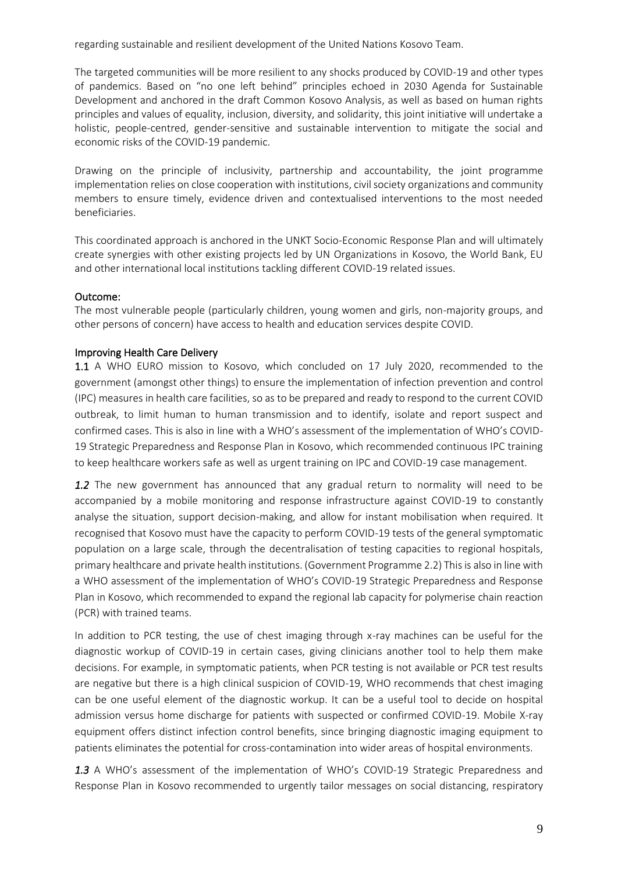regarding sustainable and resilient development of the United Nations Kosovo Team.

The targeted communities will be more resilient to any shocks produced by COVID-19 and other types of pandemics. Based on "no one left behind" principles echoed in 2030 Agenda for Sustainable Development and anchored in the draft Common Kosovo Analysis, as well as based on human rights principles and values of equality, inclusion, diversity, and solidarity, this joint initiative will undertake a holistic, people-centred, gender-sensitive and sustainable intervention to mitigate the social and economic risks of the COVID-19 pandemic.

Drawing on the principle of inclusivity, partnership and accountability, the joint programme implementation relies on close cooperation with institutions, civil society organizations and community members to ensure timely, evidence driven and contextualised interventions to the most needed beneficiaries.

This coordinated approach is anchored in the UNKT Socio-Economic Response Plan and will ultimately create synergies with other existing projects led by UN Organizations in Kosovo, the World Bank, EU and other international local institutions tackling different COVID-19 related issues.

#### Outcome:

The most vulnerable people (particularly children, young women and girls, non-majority groups, and other persons of concern) have access to health and education services despite COVID.

#### Improving Health Care Delivery

1.1 A WHO EURO mission to Kosovo, which concluded on 17 July 2020, recommended to the government (amongst other things) to ensure the implementation of infection prevention and control (IPC) measures in health care facilities, so as to be prepared and ready to respond to the current COVID outbreak, to limit human to human transmission and to identify, isolate and report suspect and confirmed cases. This is also in line with a WHO's assessment of the implementation of WHO's COVID-19 Strategic Preparedness and Response Plan in Kosovo, which recommended continuous IPC training to keep healthcare workers safe as well as urgent training on IPC and COVID-19 case management.

*1.2* The new government has announced that any gradual return to normality will need to be accompanied by a mobile monitoring and response infrastructure against COVID-19 to constantly analyse the situation, support decision-making, and allow for instant mobilisation when required. It recognised that Kosovo must have the capacity to perform COVID-19 tests of the general symptomatic population on a large scale, through the decentralisation of testing capacities to regional hospitals, primary healthcare and private health institutions. (Government Programme 2.2) This is also in line with a WHO assessment of the implementation of WHO's COVID-19 Strategic Preparedness and Response Plan in Kosovo, which recommended to expand the regional lab capacity for polymerise chain reaction (PCR) with trained teams.

In addition to PCR testing, the use of chest imaging through x-ray machines can be useful for the diagnostic workup of COVID-19 in certain cases, giving clinicians another tool to help them make decisions. For example, in symptomatic patients, when PCR testing is not available or PCR test results are negative but there is a high clinical suspicion of COVID-19, WHO recommends that chest imaging can be one useful element of the diagnostic workup. It can be a useful tool to decide on hospital admission versus home discharge for patients with suspected or confirmed COVID-19. Mobile X-ray equipment offers distinct infection control benefits, since bringing diagnostic imaging equipment to patients eliminates the potential for cross-contamination into wider areas of hospital environments.

*1.3* A WHO's assessment of the implementation of WHO's COVID-19 Strategic Preparedness and Response Plan in Kosovo recommended to urgently tailor messages on social distancing, respiratory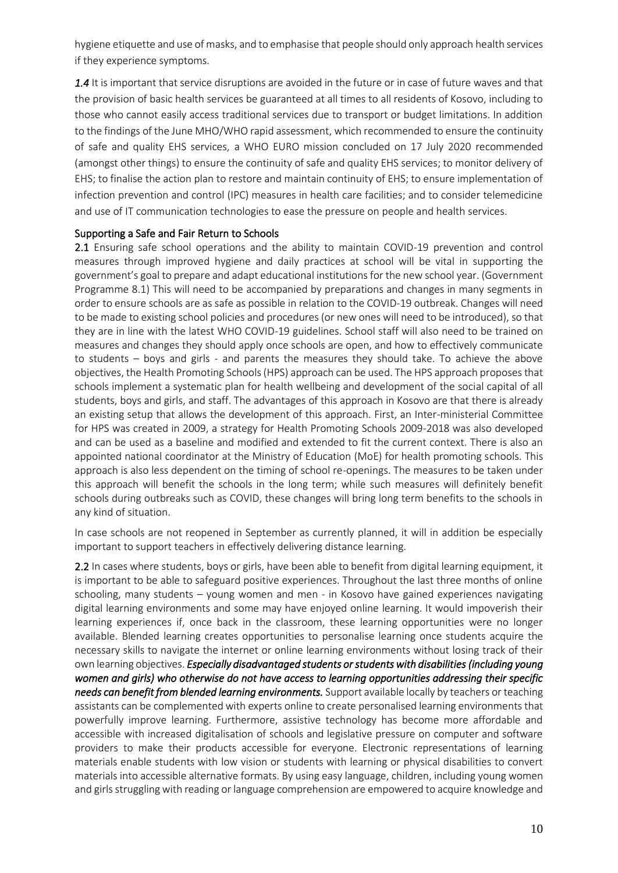hygiene etiquette and use of masks, and to emphasise that people should only approach health services if they experience symptoms.

*1.4* It is important that service disruptions are avoided in the future or in case of future waves and that the provision of basic health services be guaranteed at all times to all residents of Kosovo, including to those who cannot easily access traditional services due to transport or budget limitations. In addition to the findings of the June MHO/WHO rapid assessment, which recommended to ensure the continuity of safe and quality EHS services, a WHO EURO mission concluded on 17 July 2020 recommended (amongst other things) to ensure the continuity of safe and quality EHS services; to monitor delivery of EHS; to finalise the action plan to restore and maintain continuity of EHS; to ensure implementation of infection prevention and control (IPC) measures in health care facilities; and to consider telemedicine and use of IT communication technologies to ease the pressure on people and health services.

#### Supporting a Safe and Fair Return to Schools

2.1 Ensuring safe school operations and the ability to maintain COVID-19 prevention and control measures through improved hygiene and daily practices at school will be vital in supporting the government's goal to prepare and adapt educational institutions for the new school year. (Government Programme 8.1) This will need to be accompanied by preparations and changes in many segments in order to ensure schools are as safe as possible in relation to the COVID-19 outbreak. Changes will need to be made to existing school policies and procedures (or new ones will need to be introduced), so that they are in line with the latest WHO COVID-19 guidelines. School staff will also need to be trained on measures and changes they should apply once schools are open, and how to effectively communicate to students – boys and girls - and parents the measures they should take. To achieve the above objectives, the Health Promoting Schools (HPS) approach can be used. The HPS approach proposes that schools implement a systematic plan for health wellbeing and development of the social capital of all students, boys and girls, and staff. The advantages of this approach in Kosovo are that there is already an existing setup that allows the development of this approach. First, an Inter-ministerial Committee for HPS was created in 2009, a strategy for Health Promoting Schools 2009-2018 was also developed and can be used as a baseline and modified and extended to fit the current context. There is also an appointed national coordinator at the Ministry of Education (MoE) for health promoting schools. This approach is also less dependent on the timing of school re-openings. The measures to be taken under this approach will benefit the schools in the long term; while such measures will definitely benefit schools during outbreaks such as COVID, these changes will bring long term benefits to the schools in any kind of situation.

In case schools are not reopened in September as currently planned, it will in addition be especially important to support teachers in effectively delivering distance learning.

2.2 In cases where students, boys or girls, have been able to benefit from digital learning equipment, it is important to be able to safeguard positive experiences. Throughout the last three months of online schooling, many students – young women and men - in Kosovo have gained experiences navigating digital learning environments and some may have enjoyed online learning. It would impoverish their learning experiences if, once back in the classroom, these learning opportunities were no longer available. Blended learning creates opportunities to personalise learning once students acquire the necessary skills to navigate the internet or online learning environments without losing track of their own learning objectives. *Especially disadvantaged students or students with disabilities (including young women and girls) who otherwise do not have access to learning opportunities addressing their specific needs can benefit from blended learning environments.* Support available locally by teachers or teaching assistants can be complemented with experts online to create personalised learning environments that powerfully improve learning. Furthermore, assistive technology has become more affordable and accessible with increased digitalisation of schools and legislative pressure on computer and software providers to make their products accessible for everyone. Electronic representations of learning materials enable students with low vision or students with learning or physical disabilities to convert materials into accessible alternative formats. By using easy language, children, including young women and girls struggling with reading or language comprehension are empowered to acquire knowledge and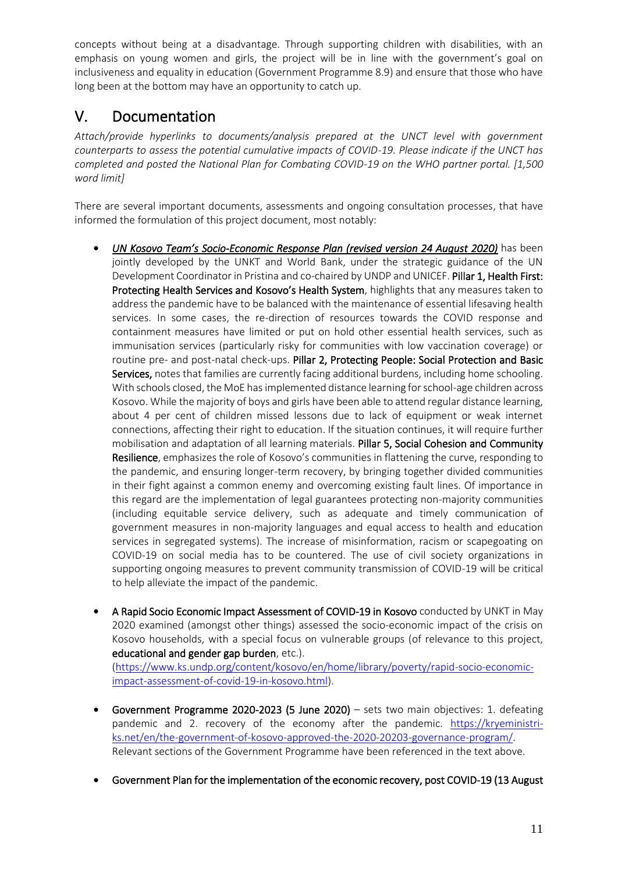concepts without being at a disadvantage. Through supporting children with disabilities, with an emphasis on young women and girls, the project will be in line with the government's goal on inclusiveness and equality in education (Government Programme 8.9) and ensure that those who have long been at the bottom may have an opportunity to catch up.

## V. Documentation

*Attach/provide hyperlinks to documents/analysis prepared at the UNCT level with government counterparts to assess the potential cumulative impacts of COVID-19. Please indicate if the UNCT has completed and posted the National Plan for Combating COVID-19 on the WHO partner portal. [1,500 word limit]*

There are several important documents, assessments and ongoing consultation processes, that have informed the formulation of this project document, most notably:

- *UN Kosovo Team's Socio-Economic Response Plan (revised version 24 August 2020)* has been jointly developed by the UNKT and World Bank, under the strategic guidance of the UN Development Coordinator in Pristina and co-chaired by UNDP and UNICEF. Pillar 1, Health First: Protecting Health Services and Kosovo's Health System, highlights that any measures taken to address the pandemic have to be balanced with the maintenance of essential lifesaving health services. In some cases, the re-direction of resources towards the COVID response and containment measures have limited or put on hold other essential health services, such as immunisation services (particularly risky for communities with low vaccination coverage) or routine pre- and post-natal check-ups. Pillar 2, Protecting People: Social Protection and Basic Services, notes that families are currently facing additional burdens, including home schooling. With schools closed, the MoE has implemented distance learning for school-age children across Kosovo. While the majority of boys and girls have been able to attend regular distance learning, about 4 per cent of children missed lessons due to lack of equipment or weak internet connections, affecting their right to education. If the situation continues, it will require further mobilisation and adaptation of all learning materials. Pillar 5, Social Cohesion and Community Resilience, emphasizes the role of Kosovo's communities in flattening the curve, responding to the pandemic, and ensuring longer-term recovery, by bringing together divided communities in their fight against a common enemy and overcoming existing fault lines. Of importance in this regard are the implementation of legal guarantees protecting non-majority communities (including equitable service delivery, such as adequate and timely communication of government measures in non-majority languages and equal access to health and education services in segregated systems). The increase of misinformation, racism or scapegoating on COVID-19 on social media has to be countered. The use of civil society organizations in supporting ongoing measures to prevent community transmission of COVID-19 will be critical to help alleviate the impact of the pandemic.
- A Rapid Socio Economic Impact Assessment of COVID-19 in Kosovo conducted by UNKT in May 2020 examined (amongst other things) assessed the socio-economic impact of the crisis on Kosovo households, with a special focus on vulnerable groups (of relevance to this project, educational and gender gap burden, etc.).

[\(https://www.ks.undp.org/content/kosovo/en/home/library/poverty/rapid-socio-economic](https://www.ks.undp.org/content/kosovo/en/home/library/poverty/rapid-socio-economic-impact-assessment-of-covid-19-in-kosovo.html)[impact-assessment-of-covid-19-in-kosovo.html\)](https://www.ks.undp.org/content/kosovo/en/home/library/poverty/rapid-socio-economic-impact-assessment-of-covid-19-in-kosovo.html).

- Government Programme 2020-2023 (5 June 2020) sets two main objectives: 1. defeating pandemic and 2. recovery of the economy after the pandemic. [https://kryeministri](https://kryeministri-ks.net/en/the-government-of-kosovo-approved-the-2020-20203-governance-program/)[ks.net/en/the-government-of-kosovo-approved-the-2020-20203-governance-program/.](https://kryeministri-ks.net/en/the-government-of-kosovo-approved-the-2020-20203-governance-program/) Relevant sections of the Government Programme have been referenced in the text above.
- Government Plan for the implementation of the economic recovery, post COVID-19 (13 August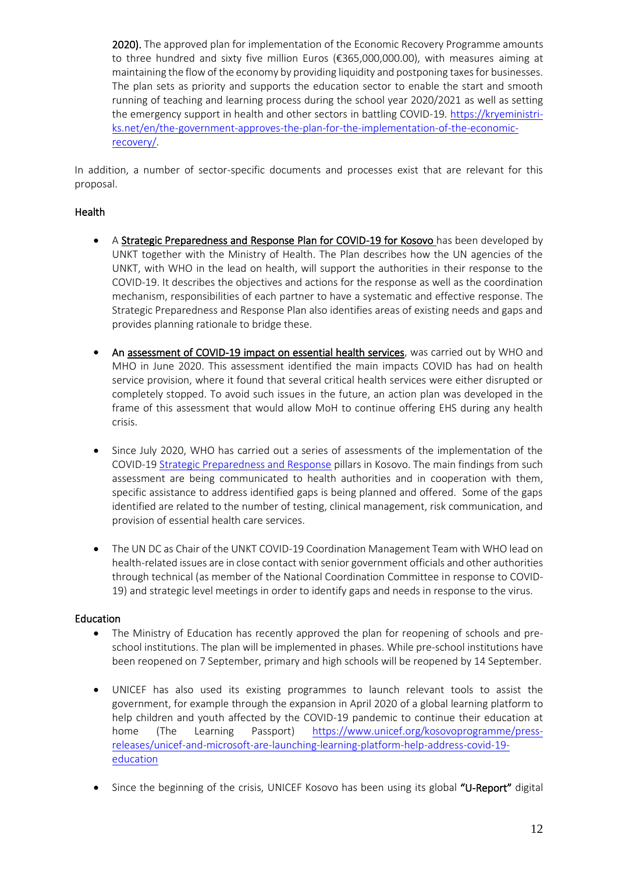2020). The approved plan for implementation of the Economic Recovery Programme amounts to three hundred and sixty five million Euros (€365,000,000.00), with measures aiming at maintaining the flow of the economy by providing liquidity and postponing taxes for businesses. The plan sets as priority and supports the education sector to enable the start and smooth running of teaching and learning process during the school year 2020/2021 as well as setting the emergency support in health and other sectors in battling COVID-19. [https://kryeministri](https://kryeministri-ks.net/en/the-government-approves-the-plan-for-the-implementation-of-the-economic-recovery/)[ks.net/en/the-government-approves-the-plan-for-the-implementation-of-the-economic](https://kryeministri-ks.net/en/the-government-approves-the-plan-for-the-implementation-of-the-economic-recovery/)[recovery/.](https://kryeministri-ks.net/en/the-government-approves-the-plan-for-the-implementation-of-the-economic-recovery/)

In addition, a number of sector-specific documents and processes exist that are relevant for this proposal.

#### Health

- A Strategic Preparedness and Response Plan for COVID-19 for Kosovo has been developed by UNKT together with the Ministry of Health. The Plan describes how the UN agencies of the UNKT, with WHO in the lead on health, will support the authorities in their response to the COVID-19. It describes the objectives and actions for the response as well as the coordination mechanism, responsibilities of each partner to have a systematic and effective response. The Strategic Preparedness and Response Plan also identifies areas of existing needs and gaps and provides planning rationale to bridge these.
- An assessment of COVID-19 impact on essential health services, was carried out by WHO and MHO in June 2020. This assessment identified the main impacts COVID has had on health service provision, where it found that several critical health services were either disrupted or completely stopped. To avoid such issues in the future, an action plan was developed in the frame of this assessment that would allow MoH to continue offering EHS during any health crisis.
- Since July 2020, WHO has carried out a series of assessments of the implementation of the COVID-1[9 Strategic Preparedness and Response](https://www.who.int/publications/i/item/strategic-preparedness-and-response-plan-for-the-new-coronavirus) pillars in Kosovo. The main findings from such assessment are being communicated to health authorities and in cooperation with them, specific assistance to address identified gaps is being planned and offered. Some of the gaps identified are related to the number of testing, clinical management, risk communication, and provision of essential health care services.
- The UN DC as Chair of the UNKT COVID-19 Coordination Management Team with WHO lead on health-related issues are in close contact with senior government officials and other authorities through technical (as member of the National Coordination Committee in response to COVID-19) and strategic level meetings in order to identify gaps and needs in response to the virus.

#### Education

- The Ministry of Education has recently approved the plan for reopening of schools and preschool institutions. The plan will be implemented in phases. While pre-school institutions have been reopened on 7 September, primary and high schools will be reopened by 14 September.
- UNICEF has also used its existing programmes to launch relevant tools to assist the government, for example through the expansion in April 2020 of a global learning platform to help children and youth affected by the COVID-19 pandemic to continue their education at home (The Learning Passport) [https://www.unicef.org/kosovoprogramme/press](https://www.unicef.org/kosovoprogramme/press-releases/unicef-and-microsoft-are-launching-learning-platform-help-address-covid-19-education)[releases/unicef-and-microsoft-are-launching-learning-platform-help-address-covid-19](https://www.unicef.org/kosovoprogramme/press-releases/unicef-and-microsoft-are-launching-learning-platform-help-address-covid-19-education) [education](https://www.unicef.org/kosovoprogramme/press-releases/unicef-and-microsoft-are-launching-learning-platform-help-address-covid-19-education)
- Since the beginning of the crisis, UNICEF Kosovo has been using its global "U-Report" digital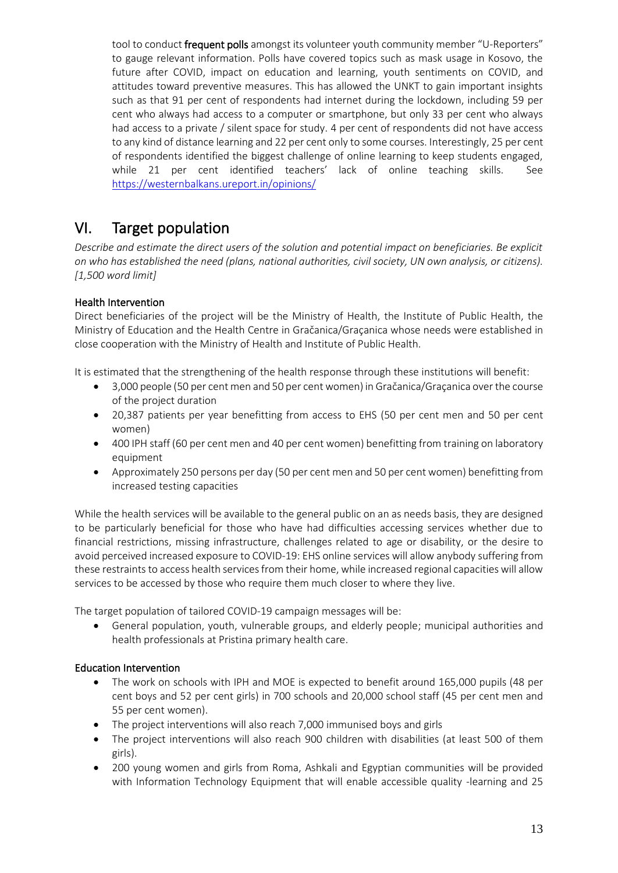tool to conduct frequent polls amongst its volunteer youth community member "U-Reporters" to gauge relevant information. Polls have covered topics such as mask usage in Kosovo, the future after COVID, impact on education and learning, youth sentiments on COVID, and attitudes toward preventive measures. This has allowed the UNKT to gain important insights such as that 91 per cent of respondents had internet during the lockdown, including 59 per cent who always had access to a computer or smartphone, but only 33 per cent who always had access to a private / silent space for study. 4 per cent of respondents did not have access to any kind of distance learning and 22 per cent only to some courses. Interestingly, 25 per cent of respondents identified the biggest challenge of online learning to keep students engaged, while 21 per cent identified teachers' lack of online teaching skills. See <https://westernbalkans.ureport.in/opinions/>

## VI. Target population

*Describe and estimate the direct users of the solution and potential impact on beneficiaries. Be explicit on who has established the need (plans, national authorities, civil society, UN own analysis, or citizens). [1,500 word limit]*

### Health Intervention

Direct beneficiaries of the project will be the Ministry of Health, the Institute of Public Health, the Ministry of Education and the Health Centre in [Gračanica](https://en.wikipedia.org/wiki/Gra%C4%8Danica,_Kosovo)/Graçanica whose needs were established in close cooperation with the Ministry of Health and Institute of Public Health.

It is estimated that the strengthening of the health response through these institutions will benefit:

- 3,000 people (50 per cent men and 50 per cent women) in [Gračanica](https://en.wikipedia.org/wiki/Gra%C4%8Danica,_Kosovo)/Graçanica over the course of the project duration
- 20,387 patients per year benefitting from access to EHS (50 per cent men and 50 per cent women)
- 400 IPH staff (60 per cent men and 40 per cent women) benefitting from training on laboratory equipment
- Approximately 250 persons per day (50 per cent men and 50 per cent women) benefitting from increased testing capacities

While the health services will be available to the general public on an as needs basis, they are designed to be particularly beneficial for those who have had difficulties accessing services whether due to financial restrictions, missing infrastructure, challenges related to age or disability, or the desire to avoid perceived increased exposure to COVID-19: EHS online services will allow anybody suffering from these restraints to access health services from their home, while increased regional capacities will allow services to be accessed by those who require them much closer to where they live.

The target population of tailored COVID-19 campaign messages will be:

• General population, youth, vulnerable groups, and elderly people; municipal authorities and health professionals at Pristina primary health care.

### Education Intervention

- The work on schools with IPH and MOE is expected to benefit around 165,000 pupils (48 per cent boys and 52 per cent girls) in 700 schools and 20,000 school staff (45 per cent men and 55 per cent women).
- The project interventions will also reach 7,000 immunised boys and girls
- The project interventions will also reach 900 children with disabilities (at least 500 of them girls).
- 200 young women and girls from Roma, Ashkali and Egyptian communities will be provided with Information Technology Equipment that will enable accessible quality -learning and 25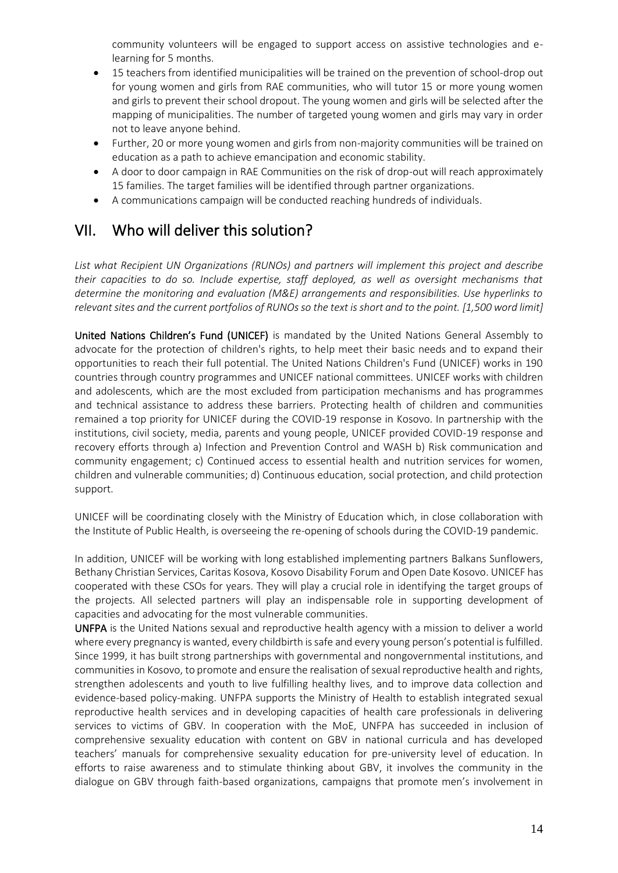community volunteers will be engaged to support access on assistive technologies and elearning for 5 months.

- 15 teachers from identified municipalities will be trained on the prevention of school-drop out for young women and girls from RAE communities, who will tutor 15 or more young women and girls to prevent their school dropout. The young women and girls will be selected after the mapping of municipalities. The number of targeted young women and girls may vary in order not to leave anyone behind.
- Further, 20 or more young women and girls from non-majority communities will be trained on education as a path to achieve emancipation and economic stability.
- A door to door campaign in RAE Communities on the risk of drop-out will reach approximately 15 families. The target families will be identified through partner organizations.
- A communications campaign will be conducted reaching hundreds of individuals.

### VII. Who will deliver this solution?

*List what Recipient UN Organizations (RUNOs) and partners will implement this project and describe their capacities to do so. Include expertise, staff deployed, as well as oversight mechanisms that determine the monitoring and evaluation (M&E) arrangements and responsibilities. Use hyperlinks to relevant sites and the current portfolios of RUNOs so the text is short and to the point. [1,500 word limit]*

United Nations Children's Fund (UNICEF) is mandated by the United Nations General Assembly to advocate for the protection of children's rights, to help meet their basic needs and to expand their opportunities to reach their full potential. The United Nations Children's Fund (UNICEF) works in 190 countries through country programmes and UNICEF national committees. UNICEF works with children and adolescents, which are the most excluded from participation mechanisms and has programmes and technical assistance to address these barriers. Protecting health of children and communities remained a top priority for UNICEF during the COVID-19 response in Kosovo. In partnership with the institutions, civil society, media, parents and young people, UNICEF provided COVID-19 response and recovery efforts through a) Infection and Prevention Control and WASH b) Risk communication and community engagement; c) Continued access to essential health and nutrition services for women, children and vulnerable communities; d) Continuous education, social protection, and child protection support.

UNICEF will be coordinating closely with the Ministry of Education which, in close collaboration with the Institute of Public Health, is overseeing the re-opening of schools during the COVID-19 pandemic.

In addition, UNICEF will be working with long established implementing partners Balkans Sunflowers, Bethany Christian Services, Caritas Kosova, Kosovo Disability Forum and Open Date Kosovo. UNICEF has cooperated with these CSOs for years. They will play a crucial role in identifying the target groups of the projects. All selected partners will play an indispensable role in supporting development of capacities and advocating for the most vulnerable communities.

UNFPA is the United Nations sexual and reproductive health agency with a mission to deliver a world where every pregnancy is wanted, every childbirth is safe and every young person's potential is fulfilled. Since 1999, it has built strong partnerships with governmental and nongovernmental institutions, and communities in Kosovo, to promote and ensure the realisation of sexual reproductive health and rights, strengthen adolescents and youth to live fulfilling healthy lives, and to improve data collection and evidence-based policy-making. UNFPA supports the Ministry of Health to establish integrated sexual reproductive health services and in developing capacities of health care professionals in delivering services to victims of GBV. In cooperation with the MoE, UNFPA has succeeded in inclusion of comprehensive sexuality education with content on GBV in national curricula and has developed teachers' manuals for comprehensive sexuality education for pre-university level of education. In efforts to raise awareness and to stimulate thinking about GBV, it involves the community in the dialogue on GBV through faith-based organizations, campaigns that promote men's involvement in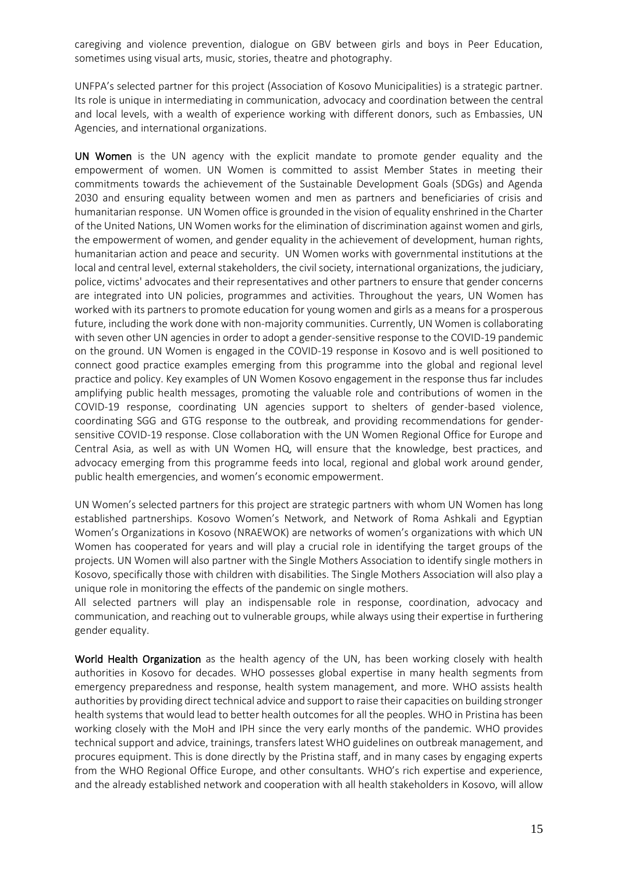caregiving and violence prevention, dialogue on GBV between girls and boys in Peer Education, sometimes using visual arts, music, stories, theatre and photography.

UNFPA's selected partner for this project (Association of Kosovo Municipalities) is a strategic partner. Its role is unique in intermediating in communication, advocacy and coordination between the central and local levels, with a wealth of experience working with different donors, such as Embassies, UN Agencies, and international organizations.

UN Women is the UN agency with the explicit mandate to promote gender equality and the empowerment of women. UN Women is committed to assist Member States in meeting their commitments towards the achievement of the Sustainable Development Goals (SDGs) and Agenda 2030 and ensuring equality between women and men as partners and beneficiaries of crisis and humanitarian response. UN Women office is grounded in the vision of equality enshrined in the Charter of the United Nations, UN Women works for the elimination of discrimination against women and girls, the empowerment of women, and gender equality in the achievement of development, human rights, humanitarian action and peace and security. UN Women works with governmental institutions at the local and central level, external stakeholders, the civil society, international organizations, the judiciary, police, victims' advocates and their representatives and other partners to ensure that gender concerns are integrated into UN policies, programmes and activities. Throughout the years, UN Women has worked with its partners to promote education for young women and girls as a means for a prosperous future, including the work done with non-majority communities. Currently, UN Women is collaborating with seven other UN agencies in order to adopt a gender-sensitive response to the COVID-19 pandemic on the ground. UN Women is engaged in the COVID-19 response in Kosovo and is well positioned to connect good practice examples emerging from this programme into the global and regional level practice and policy. Key examples of UN Women Kosovo engagement in the response thus far includes amplifying public health messages, promoting the valuable role and contributions of women in the COVID-19 response, coordinating UN agencies support to shelters of gender-based violence, coordinating SGG and GTG response to the outbreak, and providing recommendations for gendersensitive COVID-19 response. Close collaboration with the UN Women Regional Office for Europe and Central Asia, as well as with UN Women HQ, will ensure that the knowledge, best practices, and advocacy emerging from this programme feeds into local, regional and global work around gender, public health emergencies, and women's economic empowerment.

UN Women's selected partners for this project are strategic partners with whom UN Women has long established partnerships. Kosovo Women's Network, and Network of Roma Ashkali and Egyptian Women's Organizations in Kosovo (NRAEWOK) are networks of women's organizations with which UN Women has cooperated for years and will play a crucial role in identifying the target groups of the projects. UN Women will also partner with the Single Mothers Association to identify single mothers in Kosovo, specifically those with children with disabilities. The Single Mothers Association will also play a unique role in monitoring the effects of the pandemic on single mothers.

All selected partners will play an indispensable role in response, coordination, advocacy and communication, and reaching out to vulnerable groups, while always using their expertise in furthering gender equality.

World Health Organization as the health agency of the UN, has been working closely with health authorities in Kosovo for decades. WHO possesses global expertise in many health segments from emergency preparedness and response, health system management, and more. WHO assists health authorities by providing direct technical advice and support to raise their capacities on building stronger health systems that would lead to better health outcomes for all the peoples. WHO in Pristina has been working closely with the MoH and IPH since the very early months of the pandemic. WHO provides technical support and advice, trainings, transfers latest WHO guidelines on outbreak management, and procures equipment. This is done directly by the Pristina staff, and in many cases by engaging experts from the WHO Regional Office Europe, and other consultants. WHO's rich expertise and experience, and the already established network and cooperation with all health stakeholders in Kosovo, will allow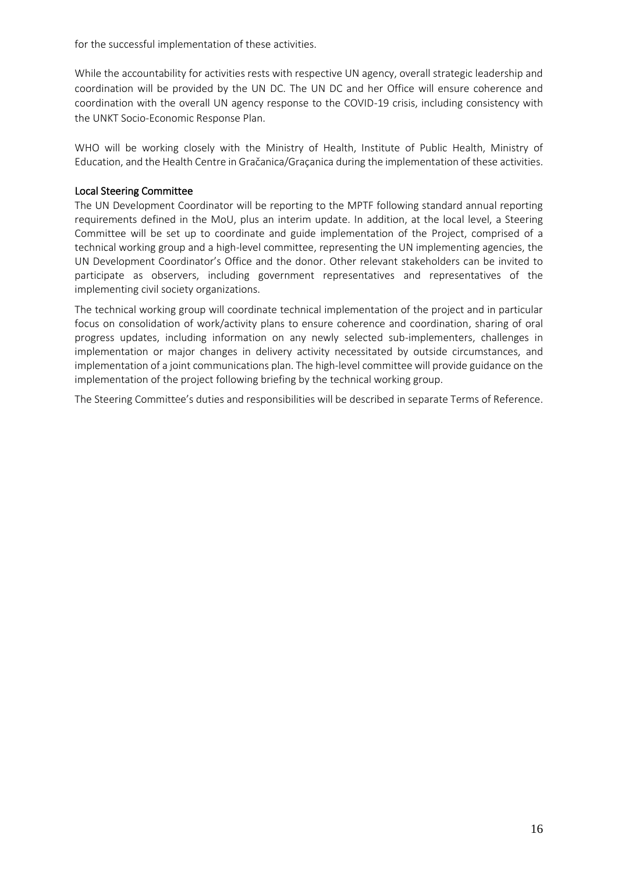for the successful implementation of these activities.

While the accountability for activities rests with respective UN agency, overall strategic leadership and coordination will be provided by the UN DC. The UN DC and her Office will ensure coherence and coordination with the overall UN agency response to the COVID-19 crisis, including consistency with the UNKT Socio-Economic Response Plan.

WHO will be working closely with the Ministry of Health, Institute of Public Health, Ministry of Education, and the Health Centre in [Gračanica](https://en.wikipedia.org/wiki/Gra%C4%8Danica,_Kosovo)/Graçanica during the implementation of these activities.

#### Local Steering Committee

The UN Development Coordinator will be reporting to the MPTF following standard annual reporting requirements defined in the MoU, plus an interim update. In addition, at the local level, a Steering Committee will be set up to coordinate and guide implementation of the Project, comprised of a technical working group and a high-level committee, representing the UN implementing agencies, the UN Development Coordinator's Office and the donor. Other relevant stakeholders can be invited to participate as observers, including government representatives and representatives of the implementing civil society organizations.

The technical working group will coordinate technical implementation of the project and in particular focus on consolidation of work/activity plans to ensure coherence and coordination, sharing of oral progress updates, including information on any newly selected sub-implementers, challenges in implementation or major changes in delivery activity necessitated by outside circumstances, and implementation of a joint communications plan. The high-level committee will provide guidance on the implementation of the project following briefing by the technical working group.

The Steering Committee's duties and responsibilities will be described in separate Terms of Reference.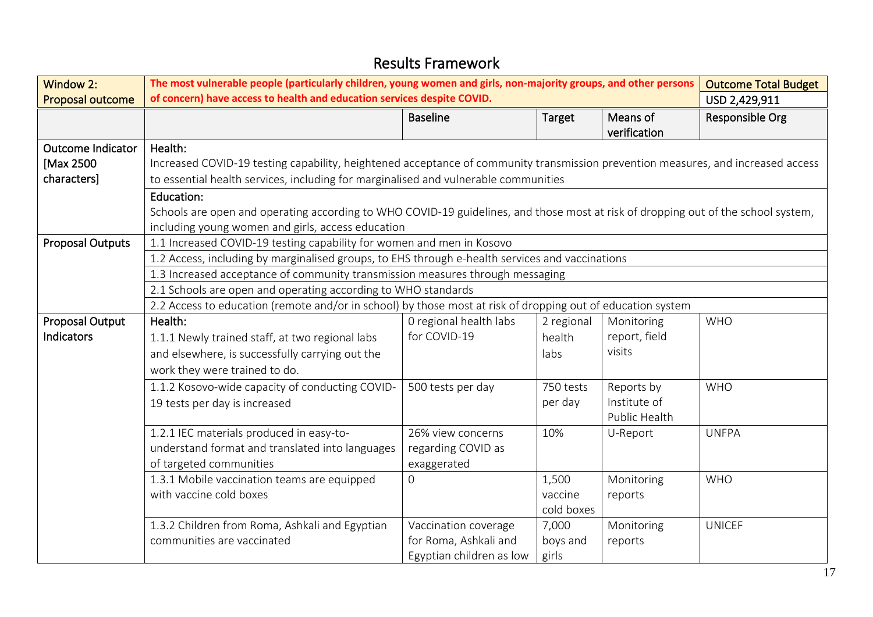| <b>Window 2:</b>        | The most vulnerable people (particularly children, young women and girls, non-majority groups, and other persons<br><b>Outcome Total Budget</b> |                          |               |               |                 |  |  |  |  |
|-------------------------|-------------------------------------------------------------------------------------------------------------------------------------------------|--------------------------|---------------|---------------|-----------------|--|--|--|--|
| Proposal outcome        | of concern) have access to health and education services despite COVID.                                                                         |                          |               |               | USD 2,429,911   |  |  |  |  |
|                         |                                                                                                                                                 | <b>Baseline</b>          | <b>Target</b> | Means of      | Responsible Org |  |  |  |  |
|                         |                                                                                                                                                 |                          |               | verification  |                 |  |  |  |  |
| Outcome Indicator       | Health:                                                                                                                                         |                          |               |               |                 |  |  |  |  |
| [Max 2500               | Increased COVID-19 testing capability, heightened acceptance of community transmission prevention measures, and increased access                |                          |               |               |                 |  |  |  |  |
| characters]             | to essential health services, including for marginalised and vulnerable communities                                                             |                          |               |               |                 |  |  |  |  |
|                         | Education:                                                                                                                                      |                          |               |               |                 |  |  |  |  |
|                         | Schools are open and operating according to WHO COVID-19 guidelines, and those most at risk of dropping out of the school system,               |                          |               |               |                 |  |  |  |  |
|                         | including young women and girls, access education                                                                                               |                          |               |               |                 |  |  |  |  |
| <b>Proposal Outputs</b> | 1.1 Increased COVID-19 testing capability for women and men in Kosovo                                                                           |                          |               |               |                 |  |  |  |  |
|                         | 1.2 Access, including by marginalised groups, to EHS through e-health services and vaccinations                                                 |                          |               |               |                 |  |  |  |  |
|                         | 1.3 Increased acceptance of community transmission measures through messaging                                                                   |                          |               |               |                 |  |  |  |  |
|                         | 2.1 Schools are open and operating according to WHO standards                                                                                   |                          |               |               |                 |  |  |  |  |
|                         | 2.2 Access to education (remote and/or in school) by those most at risk of dropping out of education system                                     |                          |               |               |                 |  |  |  |  |
| Proposal Output         | Health:                                                                                                                                         | O regional health labs   | 2 regional    | Monitoring    | <b>WHO</b>      |  |  |  |  |
| Indicators              | 1.1.1 Newly trained staff, at two regional labs                                                                                                 | for COVID-19             | health        | report, field |                 |  |  |  |  |
|                         | and elsewhere, is successfully carrying out the                                                                                                 |                          | labs          | visits        |                 |  |  |  |  |
|                         | work they were trained to do.                                                                                                                   |                          |               |               |                 |  |  |  |  |
|                         | 1.1.2 Kosovo-wide capacity of conducting COVID-                                                                                                 | 500 tests per day        | 750 tests     | Reports by    | <b>WHO</b>      |  |  |  |  |
|                         | 19 tests per day is increased                                                                                                                   |                          | per day       | Institute of  |                 |  |  |  |  |
|                         |                                                                                                                                                 |                          |               | Public Health |                 |  |  |  |  |
|                         | 1.2.1 IEC materials produced in easy-to-                                                                                                        | 26% view concerns        | 10%           | U-Report      | <b>UNFPA</b>    |  |  |  |  |
|                         | understand format and translated into languages                                                                                                 | regarding COVID as       |               |               |                 |  |  |  |  |
|                         | of targeted communities                                                                                                                         | exaggerated              |               |               |                 |  |  |  |  |
|                         | 1.3.1 Mobile vaccination teams are equipped                                                                                                     | $\overline{0}$           | 1,500         | Monitoring    | <b>WHO</b>      |  |  |  |  |
|                         | with vaccine cold boxes                                                                                                                         |                          | vaccine       | reports       |                 |  |  |  |  |
|                         |                                                                                                                                                 |                          | cold boxes    |               |                 |  |  |  |  |
|                         | 1.3.2 Children from Roma, Ashkali and Egyptian                                                                                                  | Vaccination coverage     | 7,000         | Monitoring    | <b>UNICEF</b>   |  |  |  |  |
|                         | communities are vaccinated                                                                                                                      | for Roma, Ashkali and    | boys and      | reports       |                 |  |  |  |  |
|                         |                                                                                                                                                 | Egyptian children as low | girls         |               |                 |  |  |  |  |

# Results Framework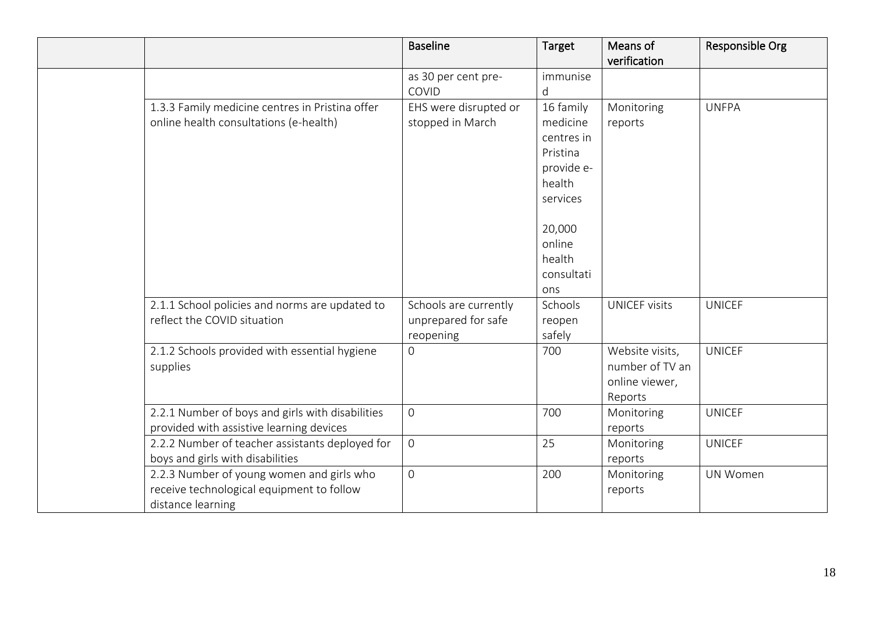|                                                                                                             | <b>Baseline</b>                                           | Target                                                                                                                                 | Means of<br>verification                                        | Responsible Org |
|-------------------------------------------------------------------------------------------------------------|-----------------------------------------------------------|----------------------------------------------------------------------------------------------------------------------------------------|-----------------------------------------------------------------|-----------------|
|                                                                                                             | as 30 per cent pre-<br>COVID                              | immunise<br>d                                                                                                                          |                                                                 |                 |
| 1.3.3 Family medicine centres in Pristina offer<br>online health consultations (e-health)                   | EHS were disrupted or<br>stopped in March                 | 16 family<br>medicine<br>centres in<br>Pristina<br>provide e-<br>health<br>services<br>20,000<br>online<br>health<br>consultati<br>ons | Monitoring<br>reports                                           | <b>UNFPA</b>    |
| 2.1.1 School policies and norms are updated to<br>reflect the COVID situation                               | Schools are currently<br>unprepared for safe<br>reopening | Schools<br>reopen<br>safely                                                                                                            | <b>UNICEF visits</b>                                            | <b>UNICEF</b>   |
| 2.1.2 Schools provided with essential hygiene<br>supplies                                                   | $\overline{0}$                                            | 700                                                                                                                                    | Website visits,<br>number of TV an<br>online viewer,<br>Reports | <b>UNICEF</b>   |
| 2.2.1 Number of boys and girls with disabilities<br>provided with assistive learning devices                | $\overline{0}$                                            | 700                                                                                                                                    | Monitoring<br>reports                                           | <b>UNICEF</b>   |
| 2.2.2 Number of teacher assistants deployed for<br>boys and girls with disabilities                         | $\overline{0}$                                            | 25                                                                                                                                     | Monitoring<br>reports                                           | <b>UNICEF</b>   |
| 2.2.3 Number of young women and girls who<br>receive technological equipment to follow<br>distance learning | $\mathbf 0$                                               | 200                                                                                                                                    | Monitoring<br>reports                                           | <b>UN Women</b> |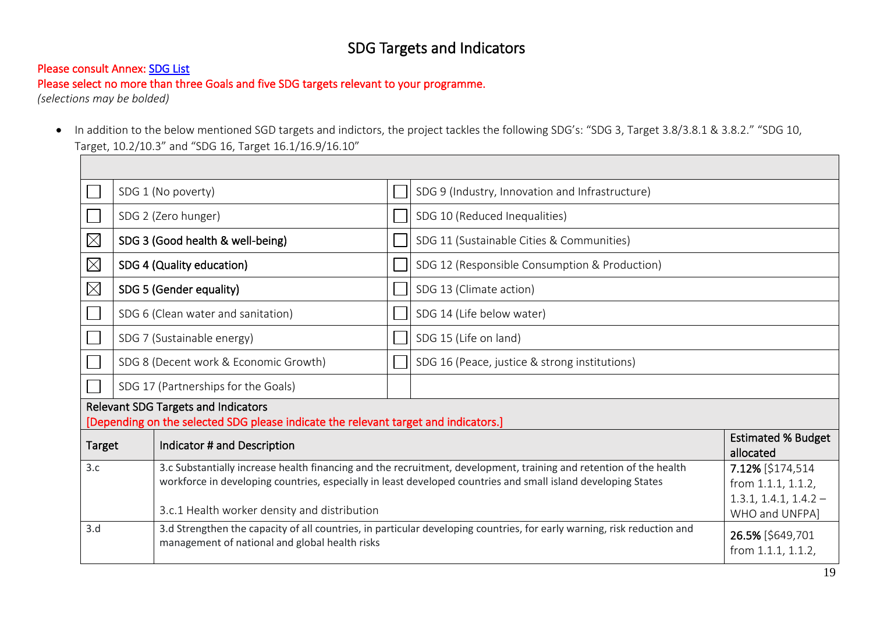# SDG Targets and Indicators

### Please consult Annex: [SDG List](#page-22-0)

Please select no more than three Goals and five SDG targets relevant to your programme.

*(selections may be bolded)* 

• In addition to the below mentioned SGD targets and indictors, the project tackles the following SDG's: "SDG 3, Target 3.8/3.8.1 & 3.8.2." "SDG 10, Target, 10.2/10.3" and "SDG 16, Target 16.1/16.9/16.10"

|               |                                                                                                                                   | SDG 1 (No poverty)               |                                                                                                                                             | SDG 9 (Industry, Innovation and Infrastructure)                                                                    |                         |  |  |
|---------------|-----------------------------------------------------------------------------------------------------------------------------------|----------------------------------|---------------------------------------------------------------------------------------------------------------------------------------------|--------------------------------------------------------------------------------------------------------------------|-------------------------|--|--|
|               |                                                                                                                                   | SDG 2 (Zero hunger)              |                                                                                                                                             | SDG 10 (Reduced Inequalities)                                                                                      |                         |  |  |
| $\boxtimes$   |                                                                                                                                   | SDG 3 (Good health & well-being) |                                                                                                                                             | SDG 11 (Sustainable Cities & Communities)                                                                          |                         |  |  |
| $\boxtimes$   |                                                                                                                                   | SDG 4 (Quality education)        |                                                                                                                                             | SDG 12 (Responsible Consumption & Production)                                                                      |                         |  |  |
| $\boxtimes$   |                                                                                                                                   | SDG 5 (Gender equality)          |                                                                                                                                             | SDG 13 (Climate action)                                                                                            |                         |  |  |
|               | SDG 6 (Clean water and sanitation)                                                                                                |                                  |                                                                                                                                             | SDG 14 (Life below water)                                                                                          |                         |  |  |
|               | SDG 7 (Sustainable energy)                                                                                                        |                                  |                                                                                                                                             | SDG 15 (Life on land)                                                                                              |                         |  |  |
|               | SDG 8 (Decent work & Economic Growth)                                                                                             |                                  |                                                                                                                                             | SDG 16 (Peace, justice & strong institutions)                                                                      |                         |  |  |
|               | SDG 17 (Partnerships for the Goals)                                                                                               |                                  |                                                                                                                                             |                                                                                                                    |                         |  |  |
|               | <b>Relevant SDG Targets and Indicators</b><br>[Depending on the selected SDG please indicate the relevant target and indicators.] |                                  |                                                                                                                                             |                                                                                                                    |                         |  |  |
| <b>Target</b> | Indicator # and Description<br>allocated                                                                                          |                                  |                                                                                                                                             | <b>Estimated % Budget</b>                                                                                          |                         |  |  |
| 3.c           |                                                                                                                                   |                                  |                                                                                                                                             | 3.c Substantially increase health financing and the recruitment, development, training and retention of the health | 7.12% [\$174,514        |  |  |
|               |                                                                                                                                   |                                  |                                                                                                                                             | workforce in developing countries, especially in least developed countries and small island developing States      | from 1.1.1, 1.1.2,      |  |  |
|               |                                                                                                                                   |                                  |                                                                                                                                             |                                                                                                                    | $1.3.1, 1.4.1, 1.4.2 -$ |  |  |
|               | 3.c.1 Health worker density and distribution                                                                                      |                                  |                                                                                                                                             |                                                                                                                    | WHO and UNFPA]          |  |  |
| 3.d           |                                                                                                                                   |                                  | 3.d Strengthen the capacity of all countries, in particular developing countries, for early warning, risk reduction and<br>26.5% [\$649,701 |                                                                                                                    |                         |  |  |
|               | management of national and global health risks                                                                                    |                                  |                                                                                                                                             |                                                                                                                    | from 1.1.1, 1.1.2,      |  |  |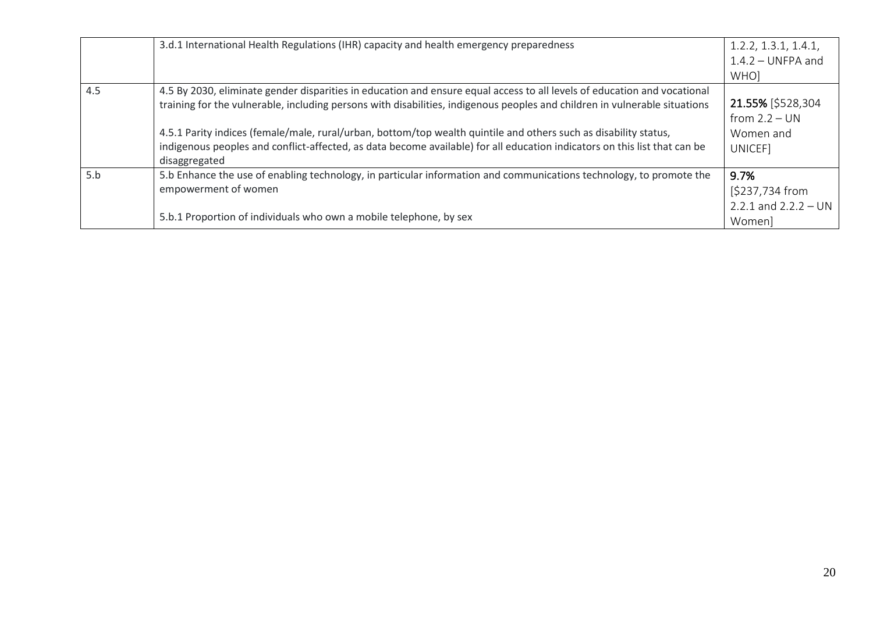|     | 3.d.1 International Health Regulations (IHR) capacity and health emergency preparedness                                                                                                                                                                                                                                                                                    | 1.2.2, 1.3.1, 1.4.1,<br>$1.4.2 - UNFPA$ and<br>WHO] |
|-----|----------------------------------------------------------------------------------------------------------------------------------------------------------------------------------------------------------------------------------------------------------------------------------------------------------------------------------------------------------------------------|-----------------------------------------------------|
| 4.5 | 4.5 By 2030, eliminate gender disparities in education and ensure equal access to all levels of education and vocational<br>training for the vulnerable, including persons with disabilities, indigenous peoples and children in vulnerable situations<br>4.5.1 Parity indices (female/male, rural/urban, bottom/top wealth quintile and others such as disability status, | 21.55% [\$528,304<br>from $2.2 - UN$<br>Women and   |
|     | indigenous peoples and conflict-affected, as data become available) for all education indicators on this list that can be<br>disaggregated                                                                                                                                                                                                                                 | UNICEF]                                             |
| 5.b | 5.b Enhance the use of enabling technology, in particular information and communications technology, to promote the<br>empowerment of women                                                                                                                                                                                                                                | 9.7%<br>[\$237,734 from<br>2.2.1 and $2.2.2 - UN$   |
|     | 5.b.1 Proportion of individuals who own a mobile telephone, by sex                                                                                                                                                                                                                                                                                                         | Women]                                              |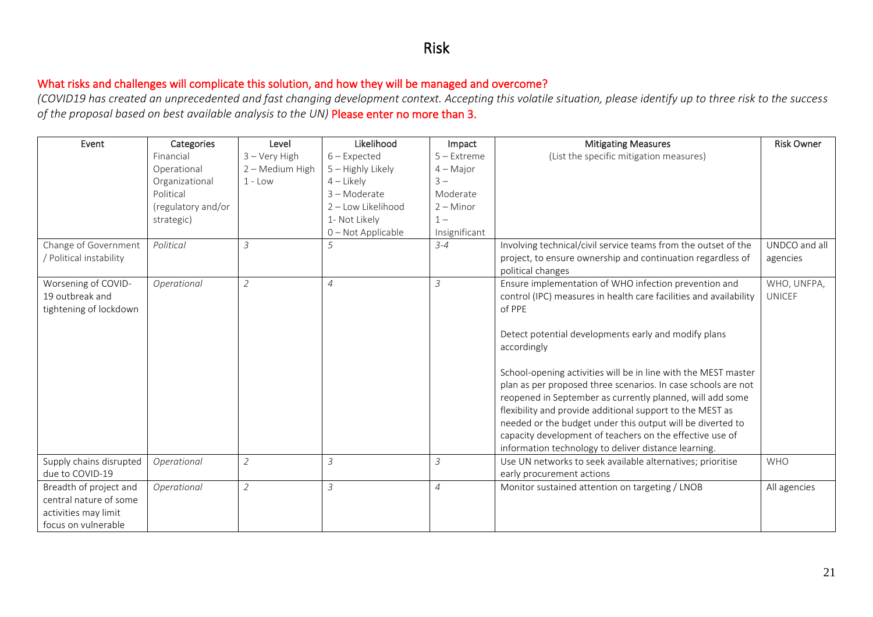## Risk

### What risks and challenges will complicate this solution, and how they will be managed and overcome?

*(COVID19 has created an unprecedented and fast changing development context. Accepting this volatile situation, please identify up to three risk to the success of the proposal based on best available analysis to the UN)* Please enter no more than 3.

| Event                   | Categories         | Level           | Likelihood          | Impact         | <b>Mitigating Measures</b>                                        | <b>Risk Owner</b> |
|-------------------------|--------------------|-----------------|---------------------|----------------|-------------------------------------------------------------------|-------------------|
|                         | Financial          | $3 -$ Very High | $6$ – Expected      | $5 -$ Extreme  | (List the specific mitigation measures)                           |                   |
|                         | Operational        | 2 - Medium High | $5 -$ Highly Likely | $4 - Major$    |                                                                   |                   |
|                         | Organizational     | $1 - Low$       | $4$ – Likely        | $3 -$          |                                                                   |                   |
|                         | Political          |                 | 3-Moderate          | Moderate       |                                                                   |                   |
|                         | (regulatory and/or |                 | 2 - Low Likelihood  | $2 -$ Minor    |                                                                   |                   |
|                         | strategic)         |                 | 1- Not Likely       | $1 -$          |                                                                   |                   |
|                         |                    |                 | 0 - Not Applicable  | Insignificant  |                                                                   |                   |
| Change of Government    | Political          | $\overline{3}$  | 5                   | $3 - 4$        | Involving technical/civil service teams from the outset of the    | UNDCO and all     |
| / Political instability |                    |                 |                     |                | project, to ensure ownership and continuation regardless of       | agencies          |
|                         |                    |                 |                     |                | political changes                                                 |                   |
| Worsening of COVID-     | Operational        | $\overline{2}$  | $\overline{4}$      | 3              | Ensure implementation of WHO infection prevention and             | WHO, UNFPA,       |
| 19 outbreak and         |                    |                 |                     |                | control (IPC) measures in health care facilities and availability | <b>UNICEF</b>     |
| tightening of lockdown  |                    |                 |                     |                | of PPE                                                            |                   |
|                         |                    |                 |                     |                |                                                                   |                   |
|                         |                    |                 |                     |                | Detect potential developments early and modify plans              |                   |
|                         |                    |                 |                     |                | accordingly                                                       |                   |
|                         |                    |                 |                     |                |                                                                   |                   |
|                         |                    |                 |                     |                | School-opening activities will be in line with the MEST master    |                   |
|                         |                    |                 |                     |                | plan as per proposed three scenarios. In case schools are not     |                   |
|                         |                    |                 |                     |                | reopened in September as currently planned, will add some         |                   |
|                         |                    |                 |                     |                | flexibility and provide additional support to the MEST as         |                   |
|                         |                    |                 |                     |                | needed or the budget under this output will be diverted to        |                   |
|                         |                    |                 |                     |                | capacity development of teachers on the effective use of          |                   |
|                         |                    |                 |                     |                | information technology to deliver distance learning.              |                   |
| Supply chains disrupted | Operational        | $\overline{2}$  | 3                   | 3              | Use UN networks to seek available alternatives; prioritise        | <b>WHO</b>        |
| due to COVID-19         |                    |                 |                     |                | early procurement actions                                         |                   |
| Breadth of project and  | Operational        | $\overline{2}$  | 3                   | $\overline{4}$ | Monitor sustained attention on targeting / LNOB                   | All agencies      |
| central nature of some  |                    |                 |                     |                |                                                                   |                   |
| activities may limit    |                    |                 |                     |                |                                                                   |                   |
| focus on vulnerable     |                    |                 |                     |                |                                                                   |                   |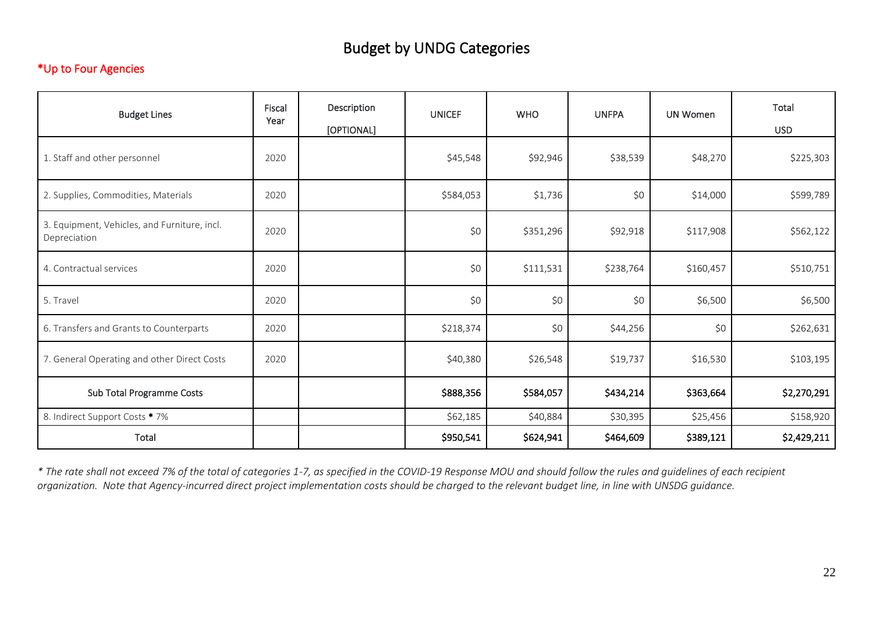# Budget by UNDG Categories

### \*Up to Four Agencies

| <b>Budget Lines</b>                                          | Fiscal<br>Year | Description<br>[OPTIONAL] | <b>UNICEF</b> | <b>WHO</b> | <b>UNFPA</b> | <b>UN Women</b> | Total<br><b>USD</b> |
|--------------------------------------------------------------|----------------|---------------------------|---------------|------------|--------------|-----------------|---------------------|
| 1. Staff and other personnel                                 | 2020           |                           | \$45,548      | \$92,946   | \$38,539     | \$48,270        | \$225,303           |
| 2. Supplies, Commodities, Materials                          | 2020           |                           | \$584,053     | \$1,736    | \$0          | \$14,000        | \$599,789           |
| 3. Equipment, Vehicles, and Furniture, incl.<br>Depreciation | 2020           |                           | \$0           | \$351,296  | \$92,918     | \$117,908       | \$562,122           |
| 4. Contractual services                                      | 2020           |                           | \$0           | \$111,531  | \$238,764    | \$160,457       | \$510,751           |
| 5. Travel                                                    | 2020           |                           | \$0           | \$0        | \$0          | \$6,500         | \$6,500             |
| 6. Transfers and Grants to Counterparts                      | 2020           |                           | \$218,374     | \$0        | \$44,256     | \$0             | \$262,631           |
| 7. General Operating and other Direct Costs                  | 2020           |                           | \$40,380      | \$26,548   | \$19,737     | \$16,530        | \$103,195           |
| Sub Total Programme Costs                                    |                |                           | \$888,356     | \$584,057  | \$434,214    | \$363,664       | \$2,270,291         |
| 8. Indirect Support Costs * 7%                               |                |                           | \$62,185      | \$40,884   | \$30,395     | \$25,456        | \$158,920           |
| Total                                                        |                |                           | \$950,541     | \$624,941  | \$464,609    | \$389,121       | \$2,429,211         |

*\* The rate shall not exceed 7% of the total of categories 1-7, as specified in the COVID-19 Response MOU and should follow the rules and guidelines of each recipient organization. Note that Agency-incurred direct project implementation costs should be charged to the relevant budget line, in line with UNSDG guidance.*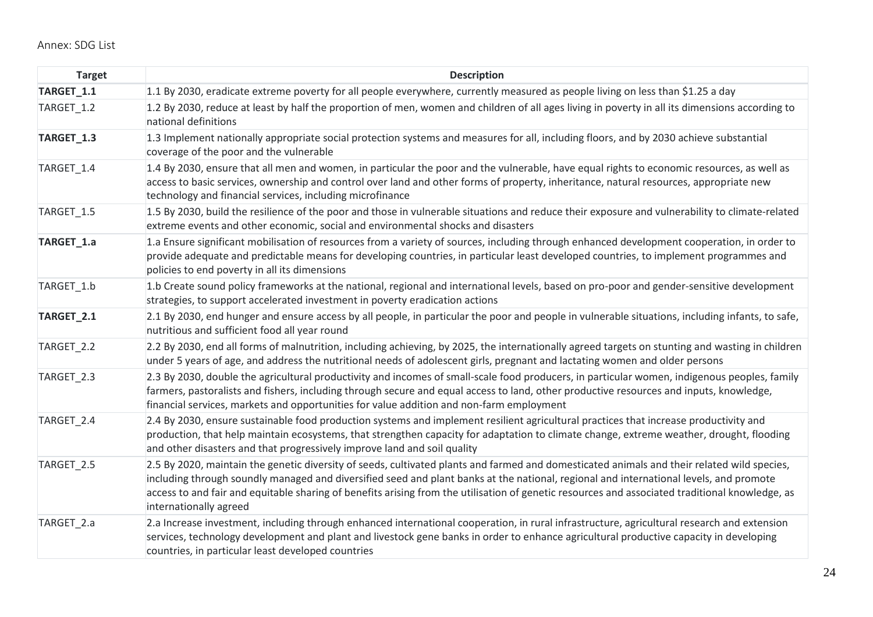<span id="page-22-0"></span>

| <b>Target</b> | <b>Description</b>                                                                                                                                                                                                                                                                                                                                                                                                                                                 |
|---------------|--------------------------------------------------------------------------------------------------------------------------------------------------------------------------------------------------------------------------------------------------------------------------------------------------------------------------------------------------------------------------------------------------------------------------------------------------------------------|
| TARGET_1.1    | 1.1 By 2030, eradicate extreme poverty for all people everywhere, currently measured as people living on less than \$1.25 a day                                                                                                                                                                                                                                                                                                                                    |
| TARGET 1.2    | 1.2 By 2030, reduce at least by half the proportion of men, women and children of all ages living in poverty in all its dimensions according to<br>national definitions                                                                                                                                                                                                                                                                                            |
| TARGET_1.3    | 1.3 Implement nationally appropriate social protection systems and measures for all, including floors, and by 2030 achieve substantial<br>coverage of the poor and the vulnerable                                                                                                                                                                                                                                                                                  |
| TARGET_1.4    | 1.4 By 2030, ensure that all men and women, in particular the poor and the vulnerable, have equal rights to economic resources, as well as<br>access to basic services, ownership and control over land and other forms of property, inheritance, natural resources, appropriate new<br>technology and financial services, including microfinance                                                                                                                  |
| TARGET 1.5    | 1.5 By 2030, build the resilience of the poor and those in vulnerable situations and reduce their exposure and vulnerability to climate-related<br>extreme events and other economic, social and environmental shocks and disasters                                                                                                                                                                                                                                |
| TARGET_1.a    | 1.a Ensure significant mobilisation of resources from a variety of sources, including through enhanced development cooperation, in order to<br>provide adequate and predictable means for developing countries, in particular least developed countries, to implement programmes and<br>policies to end poverty in all its dimensions                                                                                                                              |
| TARGET_1.b    | 1.b Create sound policy frameworks at the national, regional and international levels, based on pro-poor and gender-sensitive development<br>strategies, to support accelerated investment in poverty eradication actions                                                                                                                                                                                                                                          |
| TARGET_2.1    | 2.1 By 2030, end hunger and ensure access by all people, in particular the poor and people in vulnerable situations, including infants, to safe,<br>nutritious and sufficient food all year round                                                                                                                                                                                                                                                                  |
| TARGET_2.2    | 2.2 By 2030, end all forms of malnutrition, including achieving, by 2025, the internationally agreed targets on stunting and wasting in children<br>under 5 years of age, and address the nutritional needs of adolescent girls, pregnant and lactating women and older persons                                                                                                                                                                                    |
| TARGET_2.3    | 2.3 By 2030, double the agricultural productivity and incomes of small-scale food producers, in particular women, indigenous peoples, family<br>farmers, pastoralists and fishers, including through secure and equal access to land, other productive resources and inputs, knowledge,<br>financial services, markets and opportunities for value addition and non-farm employment                                                                                |
| TARGET_2.4    | 2.4 By 2030, ensure sustainable food production systems and implement resilient agricultural practices that increase productivity and<br>production, that help maintain ecosystems, that strengthen capacity for adaptation to climate change, extreme weather, drought, flooding<br>and other disasters and that progressively improve land and soil quality                                                                                                      |
| TARGET_2.5    | 2.5 By 2020, maintain the genetic diversity of seeds, cultivated plants and farmed and domesticated animals and their related wild species,<br>including through soundly managed and diversified seed and plant banks at the national, regional and international levels, and promote<br>access to and fair and equitable sharing of benefits arising from the utilisation of genetic resources and associated traditional knowledge, as<br>internationally agreed |
| TARGET_2.a    | 2.a Increase investment, including through enhanced international cooperation, in rural infrastructure, agricultural research and extension<br>services, technology development and plant and livestock gene banks in order to enhance agricultural productive capacity in developing<br>countries, in particular least developed countries                                                                                                                        |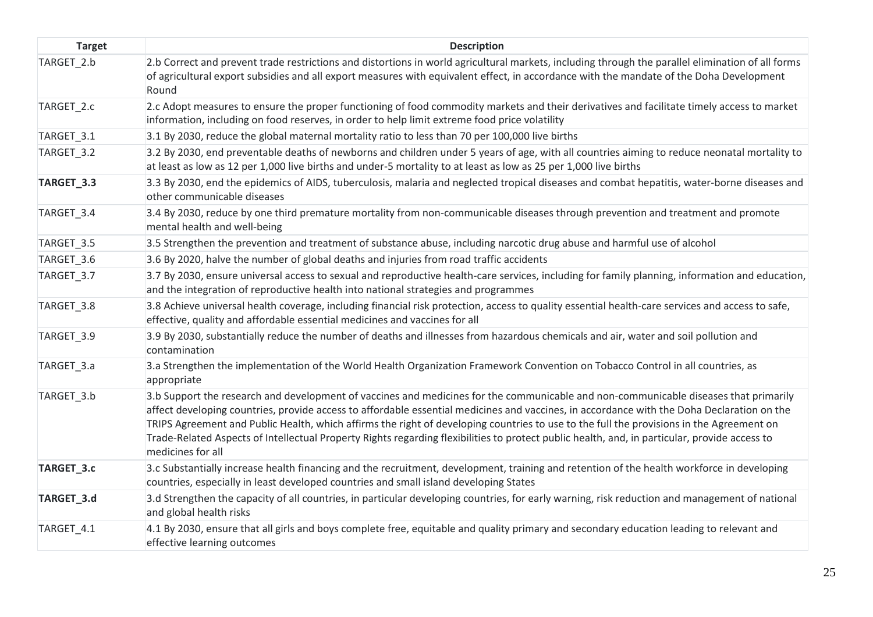| <b>Target</b> | <b>Description</b>                                                                                                                                                                                                                                                                                                                                                                                                                                                                                                                                                                                   |
|---------------|------------------------------------------------------------------------------------------------------------------------------------------------------------------------------------------------------------------------------------------------------------------------------------------------------------------------------------------------------------------------------------------------------------------------------------------------------------------------------------------------------------------------------------------------------------------------------------------------------|
| TARGET_2.b    | 2.b Correct and prevent trade restrictions and distortions in world agricultural markets, including through the parallel elimination of all forms<br>of agricultural export subsidies and all export measures with equivalent effect, in accordance with the mandate of the Doha Development<br>Round                                                                                                                                                                                                                                                                                                |
| TARGET_2.c    | 2.c Adopt measures to ensure the proper functioning of food commodity markets and their derivatives and facilitate timely access to market<br>information, including on food reserves, in order to help limit extreme food price volatility                                                                                                                                                                                                                                                                                                                                                          |
| TARGET_3.1    | 3.1 By 2030, reduce the global maternal mortality ratio to less than 70 per 100,000 live births                                                                                                                                                                                                                                                                                                                                                                                                                                                                                                      |
| TARGET_3.2    | 3.2 By 2030, end preventable deaths of newborns and children under 5 years of age, with all countries aiming to reduce neonatal mortality to<br>at least as low as 12 per 1,000 live births and under-5 mortality to at least as low as 25 per 1,000 live births                                                                                                                                                                                                                                                                                                                                     |
| TARGET_3.3    | 3.3 By 2030, end the epidemics of AIDS, tuberculosis, malaria and neglected tropical diseases and combat hepatitis, water-borne diseases and<br>other communicable diseases                                                                                                                                                                                                                                                                                                                                                                                                                          |
| TARGET_3.4    | 3.4 By 2030, reduce by one third premature mortality from non-communicable diseases through prevention and treatment and promote<br>mental health and well-being                                                                                                                                                                                                                                                                                                                                                                                                                                     |
| TARGET_3.5    | 3.5 Strengthen the prevention and treatment of substance abuse, including narcotic drug abuse and harmful use of alcohol                                                                                                                                                                                                                                                                                                                                                                                                                                                                             |
| TARGET_3.6    | 3.6 By 2020, halve the number of global deaths and injuries from road traffic accidents                                                                                                                                                                                                                                                                                                                                                                                                                                                                                                              |
| TARGET_3.7    | 3.7 By 2030, ensure universal access to sexual and reproductive health-care services, including for family planning, information and education,<br>and the integration of reproductive health into national strategies and programmes                                                                                                                                                                                                                                                                                                                                                                |
| TARGET_3.8    | 3.8 Achieve universal health coverage, including financial risk protection, access to quality essential health-care services and access to safe,<br>effective, quality and affordable essential medicines and vaccines for all                                                                                                                                                                                                                                                                                                                                                                       |
| TARGET_3.9    | 3.9 By 2030, substantially reduce the number of deaths and illnesses from hazardous chemicals and air, water and soil pollution and<br>contamination                                                                                                                                                                                                                                                                                                                                                                                                                                                 |
| TARGET_3.a    | 3.a Strengthen the implementation of the World Health Organization Framework Convention on Tobacco Control in all countries, as<br>appropriate                                                                                                                                                                                                                                                                                                                                                                                                                                                       |
| TARGET_3.b    | 3.b Support the research and development of vaccines and medicines for the communicable and non-communicable diseases that primarily<br>affect developing countries, provide access to affordable essential medicines and vaccines, in accordance with the Doha Declaration on the<br>TRIPS Agreement and Public Health, which affirms the right of developing countries to use to the full the provisions in the Agreement on<br>Trade-Related Aspects of Intellectual Property Rights regarding flexibilities to protect public health, and, in particular, provide access to<br>medicines for all |
| TARGET_3.c    | 3.c Substantially increase health financing and the recruitment, development, training and retention of the health workforce in developing<br>countries, especially in least developed countries and small island developing States                                                                                                                                                                                                                                                                                                                                                                  |
| TARGET_3.d    | 3.d Strengthen the capacity of all countries, in particular developing countries, for early warning, risk reduction and management of national<br>and global health risks                                                                                                                                                                                                                                                                                                                                                                                                                            |
| TARGET_4.1    | 4.1 By 2030, ensure that all girls and boys complete free, equitable and quality primary and secondary education leading to relevant and<br>effective learning outcomes                                                                                                                                                                                                                                                                                                                                                                                                                              |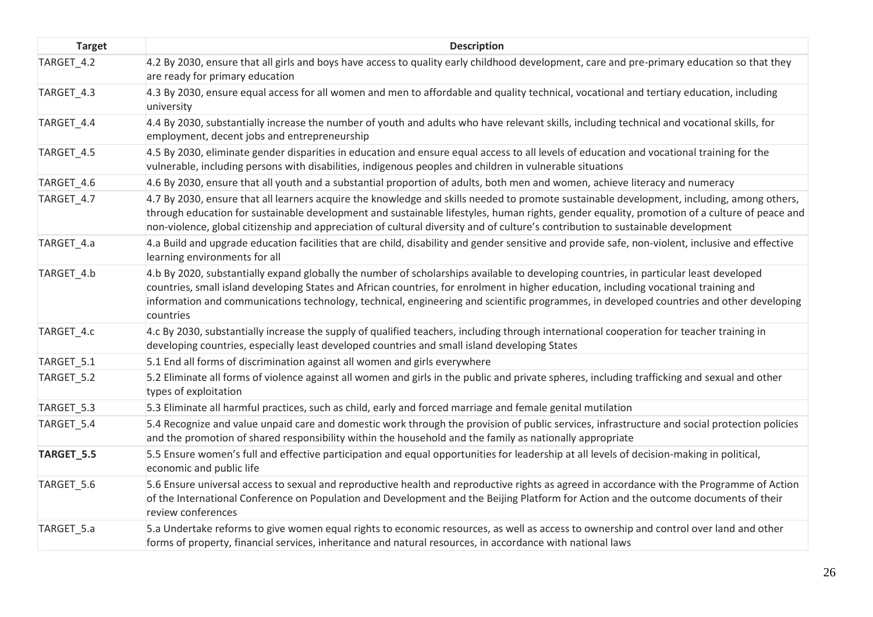| <b>Target</b> | <b>Description</b>                                                                                                                                                                                                                                                                                                                                                                                                                       |
|---------------|------------------------------------------------------------------------------------------------------------------------------------------------------------------------------------------------------------------------------------------------------------------------------------------------------------------------------------------------------------------------------------------------------------------------------------------|
| TARGET_4.2    | 4.2 By 2030, ensure that all girls and boys have access to quality early childhood development, care and pre-primary education so that they<br>are ready for primary education                                                                                                                                                                                                                                                           |
| TARGET_4.3    | 4.3 By 2030, ensure equal access for all women and men to affordable and quality technical, vocational and tertiary education, including<br>university                                                                                                                                                                                                                                                                                   |
| TARGET_4.4    | 4.4 By 2030, substantially increase the number of youth and adults who have relevant skills, including technical and vocational skills, for<br>employment, decent jobs and entrepreneurship                                                                                                                                                                                                                                              |
| TARGET_4.5    | 4.5 By 2030, eliminate gender disparities in education and ensure equal access to all levels of education and vocational training for the<br>vulnerable, including persons with disabilities, indigenous peoples and children in vulnerable situations                                                                                                                                                                                   |
| TARGET_4.6    | 4.6 By 2030, ensure that all youth and a substantial proportion of adults, both men and women, achieve literacy and numeracy                                                                                                                                                                                                                                                                                                             |
| TARGET_4.7    | 4.7 By 2030, ensure that all learners acquire the knowledge and skills needed to promote sustainable development, including, among others,<br>through education for sustainable development and sustainable lifestyles, human rights, gender equality, promotion of a culture of peace and<br>non-violence, global citizenship and appreciation of cultural diversity and of culture's contribution to sustainable development           |
| TARGET_4.a    | 4.a Build and upgrade education facilities that are child, disability and gender sensitive and provide safe, non-violent, inclusive and effective<br>learning environments for all                                                                                                                                                                                                                                                       |
| TARGET_4.b    | 4.b By 2020, substantially expand globally the number of scholarships available to developing countries, in particular least developed<br>countries, small island developing States and African countries, for enrolment in higher education, including vocational training and<br>information and communications technology, technical, engineering and scientific programmes, in developed countries and other developing<br>countries |
| TARGET_4.c    | 4.c By 2030, substantially increase the supply of qualified teachers, including through international cooperation for teacher training in<br>developing countries, especially least developed countries and small island developing States                                                                                                                                                                                               |
| TARGET_5.1    | 5.1 End all forms of discrimination against all women and girls everywhere                                                                                                                                                                                                                                                                                                                                                               |
| TARGET_5.2    | 5.2 Eliminate all forms of violence against all women and girls in the public and private spheres, including trafficking and sexual and other<br>types of exploitation                                                                                                                                                                                                                                                                   |
| TARGET_5.3    | 5.3 Eliminate all harmful practices, such as child, early and forced marriage and female genital mutilation                                                                                                                                                                                                                                                                                                                              |
| TARGET_5.4    | 5.4 Recognize and value unpaid care and domestic work through the provision of public services, infrastructure and social protection policies<br>and the promotion of shared responsibility within the household and the family as nationally appropriate                                                                                                                                                                                |
| TARGET_5.5    | 5.5 Ensure women's full and effective participation and equal opportunities for leadership at all levels of decision-making in political,<br>economic and public life                                                                                                                                                                                                                                                                    |
| TARGET_5.6    | 5.6 Ensure universal access to sexual and reproductive health and reproductive rights as agreed in accordance with the Programme of Action<br>of the International Conference on Population and Development and the Beijing Platform for Action and the outcome documents of their<br>review conferences                                                                                                                                 |
| TARGET 5.a    | 5.a Undertake reforms to give women equal rights to economic resources, as well as access to ownership and control over land and other<br>forms of property, financial services, inheritance and natural resources, in accordance with national laws                                                                                                                                                                                     |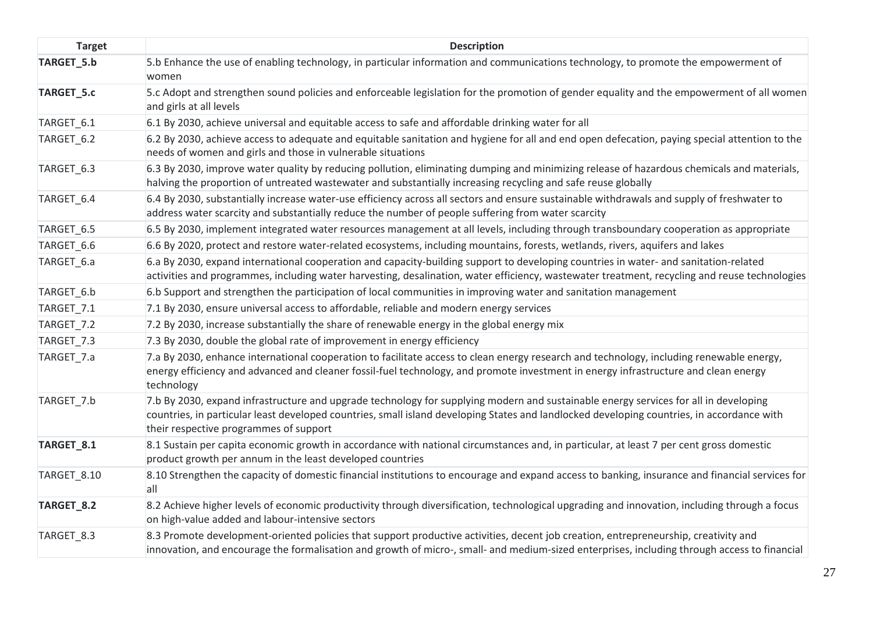| <b>Target</b> | <b>Description</b>                                                                                                                                                                                                                                                                                                           |
|---------------|------------------------------------------------------------------------------------------------------------------------------------------------------------------------------------------------------------------------------------------------------------------------------------------------------------------------------|
| TARGET_5.b    | 5.b Enhance the use of enabling technology, in particular information and communications technology, to promote the empowerment of<br>women                                                                                                                                                                                  |
| TARGET_5.c    | 5.c Adopt and strengthen sound policies and enforceable legislation for the promotion of gender equality and the empowerment of all women<br>and girls at all levels                                                                                                                                                         |
| TARGET 6.1    | 6.1 By 2030, achieve universal and equitable access to safe and affordable drinking water for all                                                                                                                                                                                                                            |
| TARGET_6.2    | 6.2 By 2030, achieve access to adequate and equitable sanitation and hygiene for all and end open defecation, paying special attention to the<br>needs of women and girls and those in vulnerable situations                                                                                                                 |
| TARGET_6.3    | 6.3 By 2030, improve water quality by reducing pollution, eliminating dumping and minimizing release of hazardous chemicals and materials,<br>halving the proportion of untreated wastewater and substantially increasing recycling and safe reuse globally                                                                  |
| TARGET_6.4    | 6.4 By 2030, substantially increase water-use efficiency across all sectors and ensure sustainable withdrawals and supply of freshwater to<br>address water scarcity and substantially reduce the number of people suffering from water scarcity                                                                             |
| TARGET_6.5    | 6.5 By 2030, implement integrated water resources management at all levels, including through transboundary cooperation as appropriate                                                                                                                                                                                       |
| TARGET_6.6    | 6.6 By 2020, protect and restore water-related ecosystems, including mountains, forests, wetlands, rivers, aquifers and lakes                                                                                                                                                                                                |
| TARGET_6.a    | 6.a By 2030, expand international cooperation and capacity-building support to developing countries in water- and sanitation-related<br>activities and programmes, including water harvesting, desalination, water efficiency, wastewater treatment, recycling and reuse technologies                                        |
| TARGET_6.b    | 6.b Support and strengthen the participation of local communities in improving water and sanitation management                                                                                                                                                                                                               |
| TARGET_7.1    | 7.1 By 2030, ensure universal access to affordable, reliable and modern energy services                                                                                                                                                                                                                                      |
| TARGET_7.2    | 7.2 By 2030, increase substantially the share of renewable energy in the global energy mix                                                                                                                                                                                                                                   |
| TARGET_7.3    | 7.3 By 2030, double the global rate of improvement in energy efficiency                                                                                                                                                                                                                                                      |
| TARGET_7.a    | 7.a By 2030, enhance international cooperation to facilitate access to clean energy research and technology, including renewable energy,<br>energy efficiency and advanced and cleaner fossil-fuel technology, and promote investment in energy infrastructure and clean energy<br>technology                                |
| TARGET_7.b    | 7.b By 2030, expand infrastructure and upgrade technology for supplying modern and sustainable energy services for all in developing<br>countries, in particular least developed countries, small island developing States and landlocked developing countries, in accordance with<br>their respective programmes of support |
| TARGET_8.1    | 8.1 Sustain per capita economic growth in accordance with national circumstances and, in particular, at least 7 per cent gross domestic<br>product growth per annum in the least developed countries                                                                                                                         |
| TARGET_8.10   | 8.10 Strengthen the capacity of domestic financial institutions to encourage and expand access to banking, insurance and financial services for<br>all                                                                                                                                                                       |
| TARGET_8.2    | 8.2 Achieve higher levels of economic productivity through diversification, technological upgrading and innovation, including through a focus<br>on high-value added and labour-intensive sectors                                                                                                                            |
| TARGET_8.3    | 8.3 Promote development-oriented policies that support productive activities, decent job creation, entrepreneurship, creativity and<br>innovation, and encourage the formalisation and growth of micro-, small- and medium-sized enterprises, including through access to financial                                          |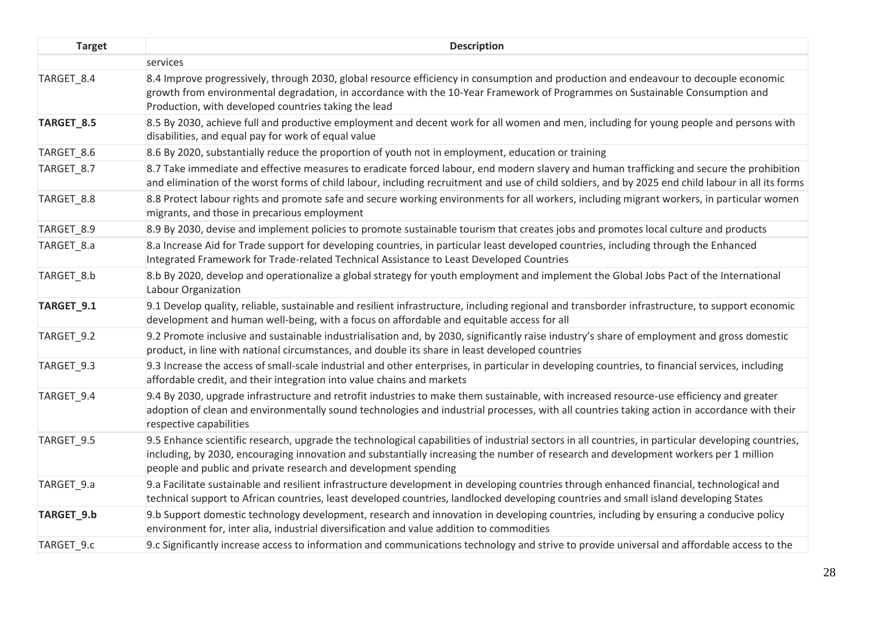| <b>Target</b> | <b>Description</b>                                                                                                                                                                                                                                                                                                                                             |
|---------------|----------------------------------------------------------------------------------------------------------------------------------------------------------------------------------------------------------------------------------------------------------------------------------------------------------------------------------------------------------------|
|               | services                                                                                                                                                                                                                                                                                                                                                       |
| TARGET_8.4    | 8.4 Improve progressively, through 2030, global resource efficiency in consumption and production and endeavour to decouple economic<br>growth from environmental degradation, in accordance with the 10-Year Framework of Programmes on Sustainable Consumption and<br>Production, with developed countries taking the lead                                   |
| TARGET_8.5    | 8.5 By 2030, achieve full and productive employment and decent work for all women and men, including for young people and persons with<br>disabilities, and equal pay for work of equal value                                                                                                                                                                  |
| TARGET_8.6    | 8.6 By 2020, substantially reduce the proportion of youth not in employment, education or training                                                                                                                                                                                                                                                             |
| TARGET_8.7    | 8.7 Take immediate and effective measures to eradicate forced labour, end modern slavery and human trafficking and secure the prohibition<br>and elimination of the worst forms of child labour, including recruitment and use of child soldiers, and by 2025 end child labour in all its forms                                                                |
| TARGET_8.8    | 8.8 Protect labour rights and promote safe and secure working environments for all workers, including migrant workers, in particular women<br>migrants, and those in precarious employment                                                                                                                                                                     |
| TARGET_8.9    | 8.9 By 2030, devise and implement policies to promote sustainable tourism that creates jobs and promotes local culture and products                                                                                                                                                                                                                            |
| TARGET_8.a    | 8.a Increase Aid for Trade support for developing countries, in particular least developed countries, including through the Enhanced<br>Integrated Framework for Trade-related Technical Assistance to Least Developed Countries                                                                                                                               |
| TARGET 8.b    | 8.b By 2020, develop and operationalize a global strategy for youth employment and implement the Global Jobs Pact of the International<br>Labour Organization                                                                                                                                                                                                  |
| TARGET_9.1    | 9.1 Develop quality, reliable, sustainable and resilient infrastructure, including regional and transborder infrastructure, to support economic<br>development and human well-being, with a focus on affordable and equitable access for all                                                                                                                   |
| TARGET_9.2    | 9.2 Promote inclusive and sustainable industrialisation and, by 2030, significantly raise industry's share of employment and gross domestic<br>product, in line with national circumstances, and double its share in least developed countries                                                                                                                 |
| TARGET 9.3    | 9.3 Increase the access of small-scale industrial and other enterprises, in particular in developing countries, to financial services, including<br>affordable credit, and their integration into value chains and markets                                                                                                                                     |
| TARGET_9.4    | 9.4 By 2030, upgrade infrastructure and retrofit industries to make them sustainable, with increased resource-use efficiency and greater<br>adoption of clean and environmentally sound technologies and industrial processes, with all countries taking action in accordance with their<br>respective capabilities                                            |
| TARGET_9.5    | 9.5 Enhance scientific research, upgrade the technological capabilities of industrial sectors in all countries, in particular developing countries,<br>including, by 2030, encouraging innovation and substantially increasing the number of research and development workers per 1 million<br>people and public and private research and development spending |
| TARGET_9.a    | 9.a Facilitate sustainable and resilient infrastructure development in developing countries through enhanced financial, technological and<br>technical support to African countries, least developed countries, landlocked developing countries and small island developing States                                                                             |
| TARGET_9.b    | 9.b Support domestic technology development, research and innovation in developing countries, including by ensuring a conducive policy<br>environment for, inter alia, industrial diversification and value addition to commodities                                                                                                                            |
| TARGET 9.c    | 9.c Significantly increase access to information and communications technology and strive to provide universal and affordable access to the                                                                                                                                                                                                                    |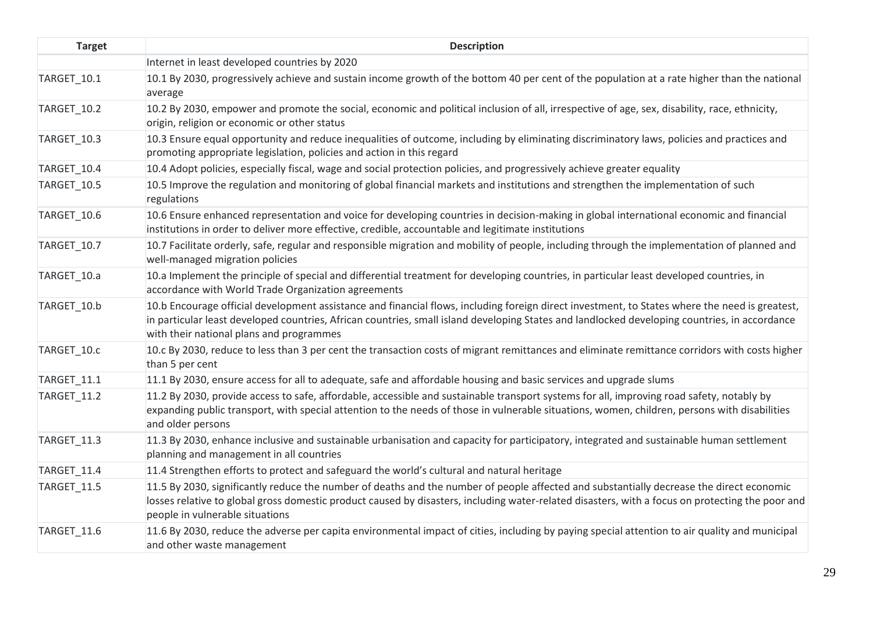| <b>Target</b> | <b>Description</b>                                                                                                                                                                                                                                                                                                                          |
|---------------|---------------------------------------------------------------------------------------------------------------------------------------------------------------------------------------------------------------------------------------------------------------------------------------------------------------------------------------------|
|               | Internet in least developed countries by 2020                                                                                                                                                                                                                                                                                               |
| TARGET_10.1   | 10.1 By 2030, progressively achieve and sustain income growth of the bottom 40 per cent of the population at a rate higher than the national<br>average                                                                                                                                                                                     |
| TARGET_10.2   | 10.2 By 2030, empower and promote the social, economic and political inclusion of all, irrespective of age, sex, disability, race, ethnicity,<br>origin, religion or economic or other status                                                                                                                                               |
| TARGET_10.3   | 10.3 Ensure equal opportunity and reduce inequalities of outcome, including by eliminating discriminatory laws, policies and practices and<br>promoting appropriate legislation, policies and action in this regard                                                                                                                         |
| TARGET_10.4   | 10.4 Adopt policies, especially fiscal, wage and social protection policies, and progressively achieve greater equality                                                                                                                                                                                                                     |
| TARGET_10.5   | 10.5 Improve the regulation and monitoring of global financial markets and institutions and strengthen the implementation of such<br>regulations                                                                                                                                                                                            |
| TARGET_10.6   | 10.6 Ensure enhanced representation and voice for developing countries in decision-making in global international economic and financial<br>institutions in order to deliver more effective, credible, accountable and legitimate institutions                                                                                              |
| TARGET_10.7   | 10.7 Facilitate orderly, safe, regular and responsible migration and mobility of people, including through the implementation of planned and<br>well-managed migration policies                                                                                                                                                             |
| TARGET_10.a   | 10.a Implement the principle of special and differential treatment for developing countries, in particular least developed countries, in<br>accordance with World Trade Organization agreements                                                                                                                                             |
| TARGET_10.b   | 10.b Encourage official development assistance and financial flows, including foreign direct investment, to States where the need is greatest,<br>in particular least developed countries, African countries, small island developing States and landlocked developing countries, in accordance<br>with their national plans and programmes |
| TARGET_10.c   | 10.c By 2030, reduce to less than 3 per cent the transaction costs of migrant remittances and eliminate remittance corridors with costs higher<br>than 5 per cent                                                                                                                                                                           |
| TARGET_11.1   | 11.1 By 2030, ensure access for all to adequate, safe and affordable housing and basic services and upgrade slums                                                                                                                                                                                                                           |
| TARGET_11.2   | 11.2 By 2030, provide access to safe, affordable, accessible and sustainable transport systems for all, improving road safety, notably by<br>expanding public transport, with special attention to the needs of those in vulnerable situations, women, children, persons with disabilities<br>and older persons                             |
| TARGET_11.3   | 11.3 By 2030, enhance inclusive and sustainable urbanisation and capacity for participatory, integrated and sustainable human settlement<br>planning and management in all countries                                                                                                                                                        |
| TARGET_11.4   | 11.4 Strengthen efforts to protect and safeguard the world's cultural and natural heritage                                                                                                                                                                                                                                                  |
| TARGET_11.5   | 11.5 By 2030, significantly reduce the number of deaths and the number of people affected and substantially decrease the direct economic<br>losses relative to global gross domestic product caused by disasters, including water-related disasters, with a focus on protecting the poor and<br>people in vulnerable situations             |
| TARGET 11.6   | 11.6 By 2030, reduce the adverse per capita environmental impact of cities, including by paying special attention to air quality and municipal<br>and other waste management                                                                                                                                                                |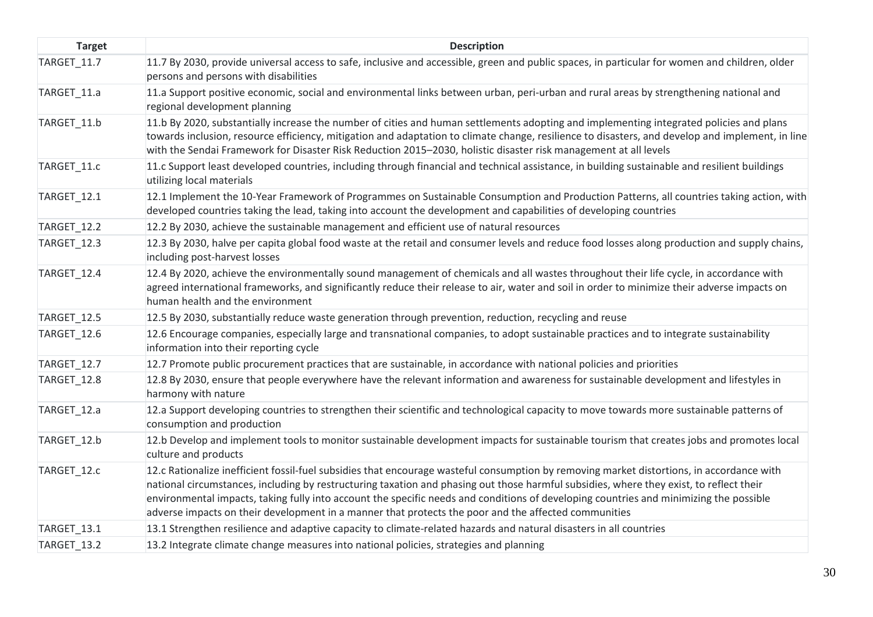| <b>Target</b>      | <b>Description</b>                                                                                                                                                                                                                                                                                                                                                                                                                                                                                                                     |
|--------------------|----------------------------------------------------------------------------------------------------------------------------------------------------------------------------------------------------------------------------------------------------------------------------------------------------------------------------------------------------------------------------------------------------------------------------------------------------------------------------------------------------------------------------------------|
| TARGET_11.7        | 11.7 By 2030, provide universal access to safe, inclusive and accessible, green and public spaces, in particular for women and children, older<br>persons and persons with disabilities                                                                                                                                                                                                                                                                                                                                                |
| TARGET 11.a        | 11.a Support positive economic, social and environmental links between urban, peri-urban and rural areas by strengthening national and<br>regional development planning                                                                                                                                                                                                                                                                                                                                                                |
| TARGET_11.b        | 11.b By 2020, substantially increase the number of cities and human settlements adopting and implementing integrated policies and plans<br>towards inclusion, resource efficiency, mitigation and adaptation to climate change, resilience to disasters, and develop and implement, in line<br>with the Sendai Framework for Disaster Risk Reduction 2015-2030, holistic disaster risk management at all levels                                                                                                                        |
| TARGET_11.c        | 11.c Support least developed countries, including through financial and technical assistance, in building sustainable and resilient buildings<br>utilizing local materials                                                                                                                                                                                                                                                                                                                                                             |
| TARGET_12.1        | 12.1 Implement the 10-Year Framework of Programmes on Sustainable Consumption and Production Patterns, all countries taking action, with<br>developed countries taking the lead, taking into account the development and capabilities of developing countries                                                                                                                                                                                                                                                                          |
| <b>TARGET_12.2</b> | 12.2 By 2030, achieve the sustainable management and efficient use of natural resources                                                                                                                                                                                                                                                                                                                                                                                                                                                |
| TARGET_12.3        | 12.3 By 2030, halve per capita global food waste at the retail and consumer levels and reduce food losses along production and supply chains,<br>including post-harvest losses                                                                                                                                                                                                                                                                                                                                                         |
| TARGET_12.4        | 12.4 By 2020, achieve the environmentally sound management of chemicals and all wastes throughout their life cycle, in accordance with<br>agreed international frameworks, and significantly reduce their release to air, water and soil in order to minimize their adverse impacts on<br>human health and the environment                                                                                                                                                                                                             |
| TARGET_12.5        | 12.5 By 2030, substantially reduce waste generation through prevention, reduction, recycling and reuse                                                                                                                                                                                                                                                                                                                                                                                                                                 |
| TARGET_12.6        | 12.6 Encourage companies, especially large and transnational companies, to adopt sustainable practices and to integrate sustainability<br>information into their reporting cycle                                                                                                                                                                                                                                                                                                                                                       |
| TARGET_12.7        | 12.7 Promote public procurement practices that are sustainable, in accordance with national policies and priorities                                                                                                                                                                                                                                                                                                                                                                                                                    |
| TARGET_12.8        | 12.8 By 2030, ensure that people everywhere have the relevant information and awareness for sustainable development and lifestyles in<br>harmony with nature                                                                                                                                                                                                                                                                                                                                                                           |
| TARGET_12.a        | 12.a Support developing countries to strengthen their scientific and technological capacity to move towards more sustainable patterns of<br>consumption and production                                                                                                                                                                                                                                                                                                                                                                 |
| TARGET_12.b        | 12.b Develop and implement tools to monitor sustainable development impacts for sustainable tourism that creates jobs and promotes local<br>culture and products                                                                                                                                                                                                                                                                                                                                                                       |
| TARGET_12.c        | 12.c Rationalize inefficient fossil-fuel subsidies that encourage wasteful consumption by removing market distortions, in accordance with<br>national circumstances, including by restructuring taxation and phasing out those harmful subsidies, where they exist, to reflect their<br>environmental impacts, taking fully into account the specific needs and conditions of developing countries and minimizing the possible<br>adverse impacts on their development in a manner that protects the poor and the affected communities |
| TARGET_13.1        | 13.1 Strengthen resilience and adaptive capacity to climate-related hazards and natural disasters in all countries                                                                                                                                                                                                                                                                                                                                                                                                                     |
| TARGET 13.2        | 13.2 Integrate climate change measures into national policies, strategies and planning                                                                                                                                                                                                                                                                                                                                                                                                                                                 |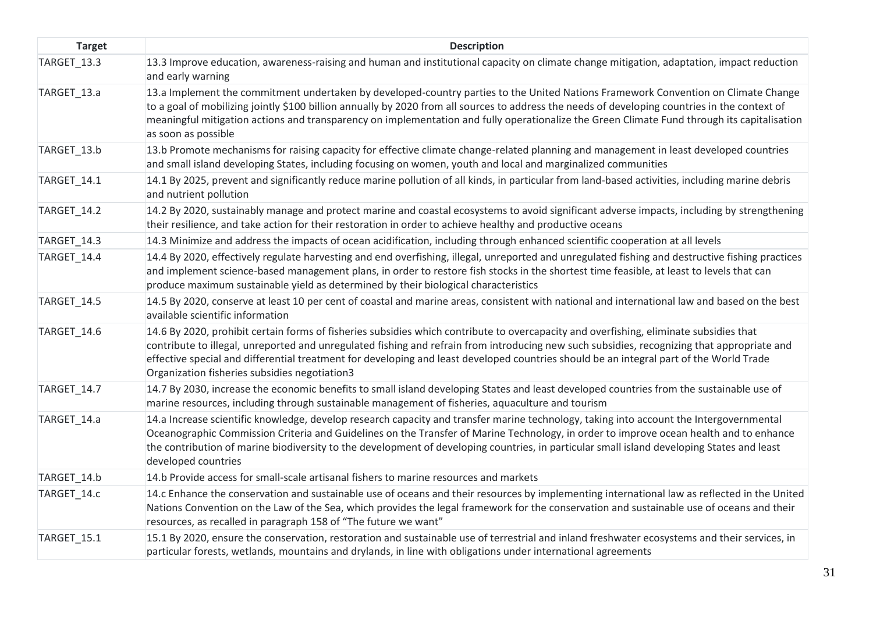| <b>Target</b> | <b>Description</b>                                                                                                                                                                                                                                                                                                                                                                                                                                                                |
|---------------|-----------------------------------------------------------------------------------------------------------------------------------------------------------------------------------------------------------------------------------------------------------------------------------------------------------------------------------------------------------------------------------------------------------------------------------------------------------------------------------|
| TARGET_13.3   | 13.3 Improve education, awareness-raising and human and institutional capacity on climate change mitigation, adaptation, impact reduction<br>and early warning                                                                                                                                                                                                                                                                                                                    |
| TARGET_13.a   | 13.a Implement the commitment undertaken by developed-country parties to the United Nations Framework Convention on Climate Change<br>to a goal of mobilizing jointly \$100 billion annually by 2020 from all sources to address the needs of developing countries in the context of<br>meaningful mitigation actions and transparency on implementation and fully operationalize the Green Climate Fund through its capitalisation<br>as soon as possible                        |
| TARGET 13.b   | 13.b Promote mechanisms for raising capacity for effective climate change-related planning and management in least developed countries<br>and small island developing States, including focusing on women, youth and local and marginalized communities                                                                                                                                                                                                                           |
| TARGET_14.1   | 14.1 By 2025, prevent and significantly reduce marine pollution of all kinds, in particular from land-based activities, including marine debris<br>and nutrient pollution                                                                                                                                                                                                                                                                                                         |
| TARGET_14.2   | 14.2 By 2020, sustainably manage and protect marine and coastal ecosystems to avoid significant adverse impacts, including by strengthening<br>their resilience, and take action for their restoration in order to achieve healthy and productive oceans                                                                                                                                                                                                                          |
| TARGET_14.3   | 14.3 Minimize and address the impacts of ocean acidification, including through enhanced scientific cooperation at all levels                                                                                                                                                                                                                                                                                                                                                     |
| TARGET_14.4   | 14.4 By 2020, effectively regulate harvesting and end overfishing, illegal, unreported and unregulated fishing and destructive fishing practices<br>and implement science-based management plans, in order to restore fish stocks in the shortest time feasible, at least to levels that can<br>produce maximum sustainable yield as determined by their biological characteristics                                                                                               |
| TARGET_14.5   | 14.5 By 2020, conserve at least 10 per cent of coastal and marine areas, consistent with national and international law and based on the best<br>available scientific information                                                                                                                                                                                                                                                                                                 |
| TARGET_14.6   | 14.6 By 2020, prohibit certain forms of fisheries subsidies which contribute to overcapacity and overfishing, eliminate subsidies that<br>contribute to illegal, unreported and unregulated fishing and refrain from introducing new such subsidies, recognizing that appropriate and<br>effective special and differential treatment for developing and least developed countries should be an integral part of the World Trade<br>Organization fisheries subsidies negotiation3 |
| TARGET_14.7   | 14.7 By 2030, increase the economic benefits to small island developing States and least developed countries from the sustainable use of<br>marine resources, including through sustainable management of fisheries, aquaculture and tourism                                                                                                                                                                                                                                      |
| TARGET_14.a   | 14.a Increase scientific knowledge, develop research capacity and transfer marine technology, taking into account the Intergovernmental<br>Oceanographic Commission Criteria and Guidelines on the Transfer of Marine Technology, in order to improve ocean health and to enhance<br>the contribution of marine biodiversity to the development of developing countries, in particular small island developing States and least<br>developed countries                            |
| TARGET_14.b   | 14.b Provide access for small-scale artisanal fishers to marine resources and markets                                                                                                                                                                                                                                                                                                                                                                                             |
| TARGET_14.c   | 14.c Enhance the conservation and sustainable use of oceans and their resources by implementing international law as reflected in the United<br>Nations Convention on the Law of the Sea, which provides the legal framework for the conservation and sustainable use of oceans and their<br>resources, as recalled in paragraph 158 of "The future we want"                                                                                                                      |
| TARGET_15.1   | 15.1 By 2020, ensure the conservation, restoration and sustainable use of terrestrial and inland freshwater ecosystems and their services, in<br>particular forests, wetlands, mountains and drylands, in line with obligations under international agreements                                                                                                                                                                                                                    |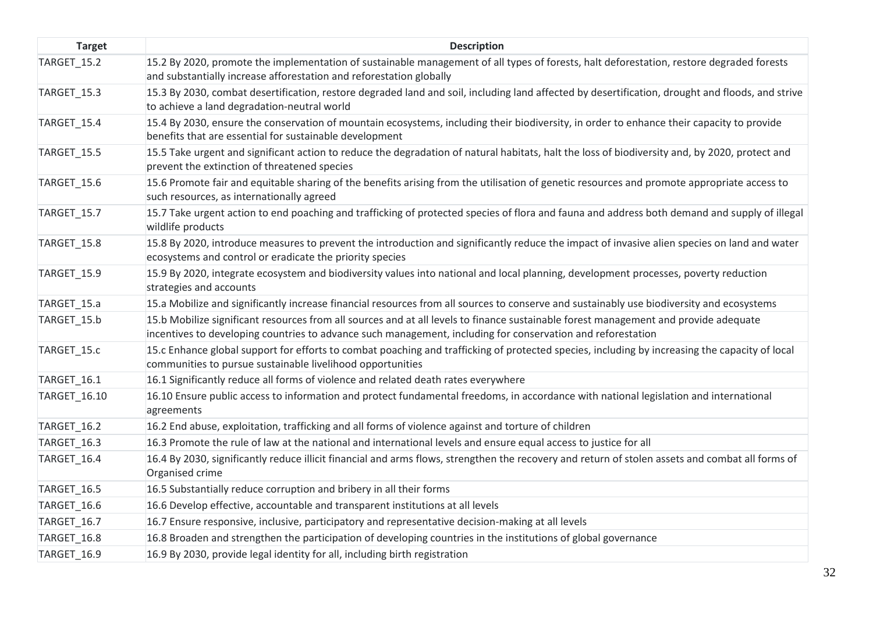| <b>Target</b>      | <b>Description</b>                                                                                                                                                                                                                                  |
|--------------------|-----------------------------------------------------------------------------------------------------------------------------------------------------------------------------------------------------------------------------------------------------|
| TARGET_15.2        | 15.2 By 2020, promote the implementation of sustainable management of all types of forests, halt deforestation, restore degraded forests<br>and substantially increase afforestation and reforestation globally                                     |
| TARGET_15.3        | 15.3 By 2030, combat desertification, restore degraded land and soil, including land affected by desertification, drought and floods, and strive<br>to achieve a land degradation-neutral world                                                     |
| TARGET 15.4        | 15.4 By 2030, ensure the conservation of mountain ecosystems, including their biodiversity, in order to enhance their capacity to provide<br>benefits that are essential for sustainable development                                                |
| TARGET_15.5        | 15.5 Take urgent and significant action to reduce the degradation of natural habitats, halt the loss of biodiversity and, by 2020, protect and<br>prevent the extinction of threatened species                                                      |
| TARGET_15.6        | 15.6 Promote fair and equitable sharing of the benefits arising from the utilisation of genetic resources and promote appropriate access to<br>such resources, as internationally agreed                                                            |
| TARGET_15.7        | 15.7 Take urgent action to end poaching and trafficking of protected species of flora and fauna and address both demand and supply of illegal<br>wildlife products                                                                                  |
| <b>TARGET_15.8</b> | 15.8 By 2020, introduce measures to prevent the introduction and significantly reduce the impact of invasive alien species on land and water<br>ecosystems and control or eradicate the priority species                                            |
| TARGET_15.9        | 15.9 By 2020, integrate ecosystem and biodiversity values into national and local planning, development processes, poverty reduction<br>strategies and accounts                                                                                     |
| TARGET_15.a        | 15.a Mobilize and significantly increase financial resources from all sources to conserve and sustainably use biodiversity and ecosystems                                                                                                           |
| TARGET_15.b        | 15.b Mobilize significant resources from all sources and at all levels to finance sustainable forest management and provide adequate<br>incentives to developing countries to advance such management, including for conservation and reforestation |
| TARGET_15.c        | 15.c Enhance global support for efforts to combat poaching and trafficking of protected species, including by increasing the capacity of local<br>communities to pursue sustainable livelihood opportunities                                        |
| TARGET_16.1        | 16.1 Significantly reduce all forms of violence and related death rates everywhere                                                                                                                                                                  |
| TARGET_16.10       | 16.10 Ensure public access to information and protect fundamental freedoms, in accordance with national legislation and international<br>agreements                                                                                                 |
| TARGET_16.2        | 16.2 End abuse, exploitation, trafficking and all forms of violence against and torture of children                                                                                                                                                 |
| TARGET_16.3        | 16.3 Promote the rule of law at the national and international levels and ensure equal access to justice for all                                                                                                                                    |
| TARGET_16.4        | 16.4 By 2030, significantly reduce illicit financial and arms flows, strengthen the recovery and return of stolen assets and combat all forms of<br>Organised crime                                                                                 |
| TARGET_16.5        | 16.5 Substantially reduce corruption and bribery in all their forms                                                                                                                                                                                 |
| TARGET_16.6        | 16.6 Develop effective, accountable and transparent institutions at all levels                                                                                                                                                                      |
| TARGET_16.7        | 16.7 Ensure responsive, inclusive, participatory and representative decision-making at all levels                                                                                                                                                   |
| TARGET_16.8        | 16.8 Broaden and strengthen the participation of developing countries in the institutions of global governance                                                                                                                                      |
| TARGET 16.9        | 16.9 By 2030, provide legal identity for all, including birth registration                                                                                                                                                                          |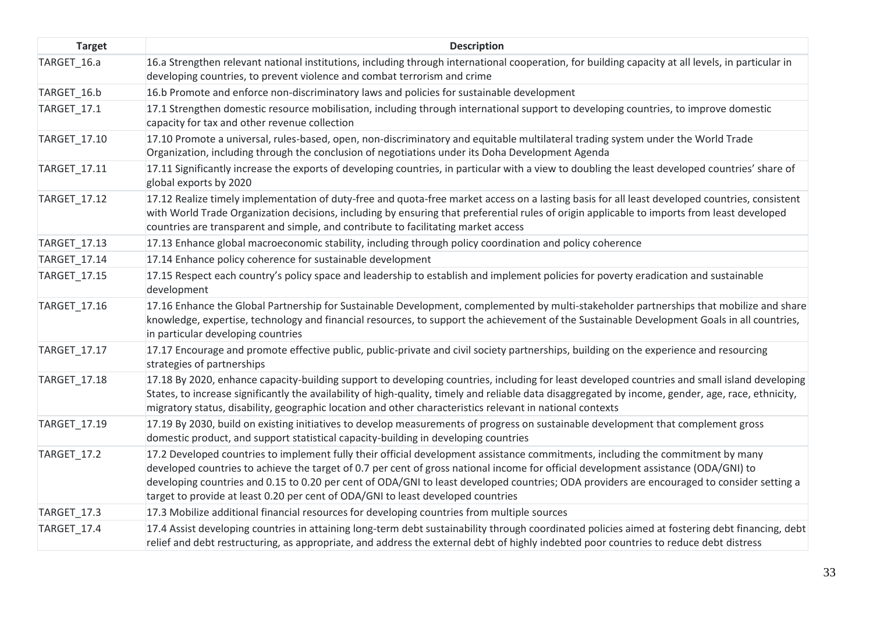| <b>Target</b> | <b>Description</b>                                                                                                                                                                                                                                                                                                                                                                                                                                                                                       |
|---------------|----------------------------------------------------------------------------------------------------------------------------------------------------------------------------------------------------------------------------------------------------------------------------------------------------------------------------------------------------------------------------------------------------------------------------------------------------------------------------------------------------------|
| TARGET_16.a   | 16.a Strengthen relevant national institutions, including through international cooperation, for building capacity at all levels, in particular in<br>developing countries, to prevent violence and combat terrorism and crime                                                                                                                                                                                                                                                                           |
| TARGET_16.b   | 16.b Promote and enforce non-discriminatory laws and policies for sustainable development                                                                                                                                                                                                                                                                                                                                                                                                                |
| TARGET_17.1   | 17.1 Strengthen domestic resource mobilisation, including through international support to developing countries, to improve domestic<br>capacity for tax and other revenue collection                                                                                                                                                                                                                                                                                                                    |
| TARGET_17.10  | 17.10 Promote a universal, rules-based, open, non-discriminatory and equitable multilateral trading system under the World Trade<br>Organization, including through the conclusion of negotiations under its Doha Development Agenda                                                                                                                                                                                                                                                                     |
| TARGET_17.11  | 17.11 Significantly increase the exports of developing countries, in particular with a view to doubling the least developed countries' share of<br>global exports by 2020                                                                                                                                                                                                                                                                                                                                |
| TARGET_17.12  | 17.12 Realize timely implementation of duty-free and quota-free market access on a lasting basis for all least developed countries, consistent<br>with World Trade Organization decisions, including by ensuring that preferential rules of origin applicable to imports from least developed<br>countries are transparent and simple, and contribute to facilitating market access                                                                                                                      |
| TARGET_17.13  | 17.13 Enhance global macroeconomic stability, including through policy coordination and policy coherence                                                                                                                                                                                                                                                                                                                                                                                                 |
| TARGET_17.14  | 17.14 Enhance policy coherence for sustainable development                                                                                                                                                                                                                                                                                                                                                                                                                                               |
| TARGET_17.15  | 17.15 Respect each country's policy space and leadership to establish and implement policies for poverty eradication and sustainable<br>development                                                                                                                                                                                                                                                                                                                                                      |
| TARGET_17.16  | 17.16 Enhance the Global Partnership for Sustainable Development, complemented by multi-stakeholder partnerships that mobilize and share<br>knowledge, expertise, technology and financial resources, to support the achievement of the Sustainable Development Goals in all countries,<br>in particular developing countries                                                                                                                                                                            |
| TARGET_17.17  | 17.17 Encourage and promote effective public, public-private and civil society partnerships, building on the experience and resourcing<br>strategies of partnerships                                                                                                                                                                                                                                                                                                                                     |
| TARGET_17.18  | 17.18 By 2020, enhance capacity-building support to developing countries, including for least developed countries and small island developing<br>States, to increase significantly the availability of high-quality, timely and reliable data disaggregated by income, gender, age, race, ethnicity,<br>migratory status, disability, geographic location and other characteristics relevant in national contexts                                                                                        |
| TARGET_17.19  | 17.19 By 2030, build on existing initiatives to develop measurements of progress on sustainable development that complement gross<br>domestic product, and support statistical capacity-building in developing countries                                                                                                                                                                                                                                                                                 |
| TARGET_17.2   | 17.2 Developed countries to implement fully their official development assistance commitments, including the commitment by many<br>developed countries to achieve the target of 0.7 per cent of gross national income for official development assistance (ODA/GNI) to<br>developing countries and 0.15 to 0.20 per cent of ODA/GNI to least developed countries; ODA providers are encouraged to consider setting a<br>target to provide at least 0.20 per cent of ODA/GNI to least developed countries |
| TARGET_17.3   | 17.3 Mobilize additional financial resources for developing countries from multiple sources                                                                                                                                                                                                                                                                                                                                                                                                              |
| TARGET_17.4   | 17.4 Assist developing countries in attaining long-term debt sustainability through coordinated policies aimed at fostering debt financing, debt<br>relief and debt restructuring, as appropriate, and address the external debt of highly indebted poor countries to reduce debt distress                                                                                                                                                                                                               |